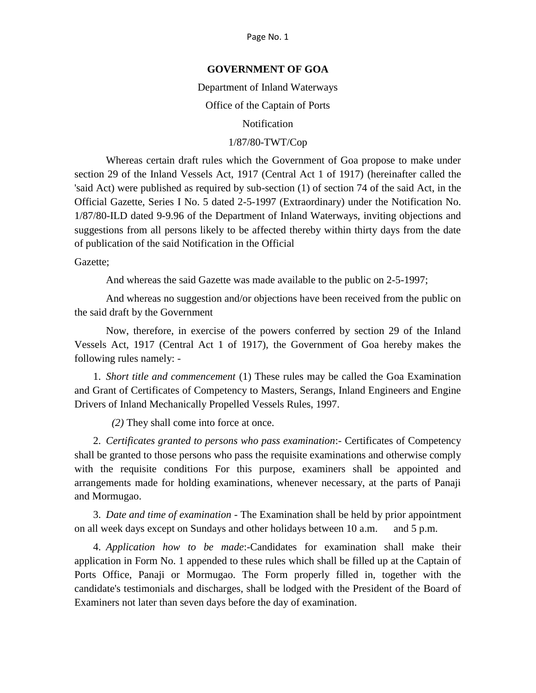### **GOVERNMENT OF GOA**

Department of Inland Waterways

Office of the Captain of Ports

Notification

## 1/87/80-TWT/Cop

Whereas certain draft rules which the Government of Goa propose to make under section 29 of the Inland Vessels Act, 1917 (Central Act 1 of 1917) (hereinafter called the 'said Act) were published as required by sub-section (1) of section 74 of the said Act, in the Official Gazette, Series I No. 5 dated 2-5-1997 (Extraordinary) under the Notification No. 1/87/80-ILD dated 9-9.96 of the Department of Inland Waterways, inviting objections and suggestions from all persons likely to be affected thereby within thirty days from the date of publication of the said Notification in the Official

Gazette;

And whereas the said Gazette was made available to the public on 2-5-1997;

And whereas no suggestion and/or objections have been received from the public on the said draft by the Government

Now, therefore, in exercise of the powers conferred by section 29 of the Inland Vessels Act, 1917 (Central Act 1 of 1917), the Government of Goa hereby makes the following rules namely: -

1. *Short title and commencement* (1) These rules may be called the Goa Examination and Grant of Certificates of Competency to Masters, Serangs, Inland Engineers and Engine Drivers of Inland Mechanically Propelled Vessels Rules, 1997.

*(2)* They shall come into force at once.

2. *Certificates granted to persons who pass examination*:- Certificates of Competency shall be granted to those persons who pass the requisite examinations and otherwise comply with the requisite conditions For this purpose, examiners shall be appointed and arrangements made for holding examinations, whenever necessary, at the parts of Panaji and Mormugao.

3. *Date and time of examination* - The Examination shall be held by prior appointment on all week days except on Sundays and other holidays between 10 a.m. and 5 p.m.

4. *Application how to be made*:-Candidates for examination shall make their application in Form No. 1 appended to these rules which shall be filled up at the Captain of Ports Office, Panaji or Mormugao. The Form properly filled in, together with the candidate's testimonials and discharges, shall be lodged with the President of the Board of Examiners not later than seven days before the day of examination.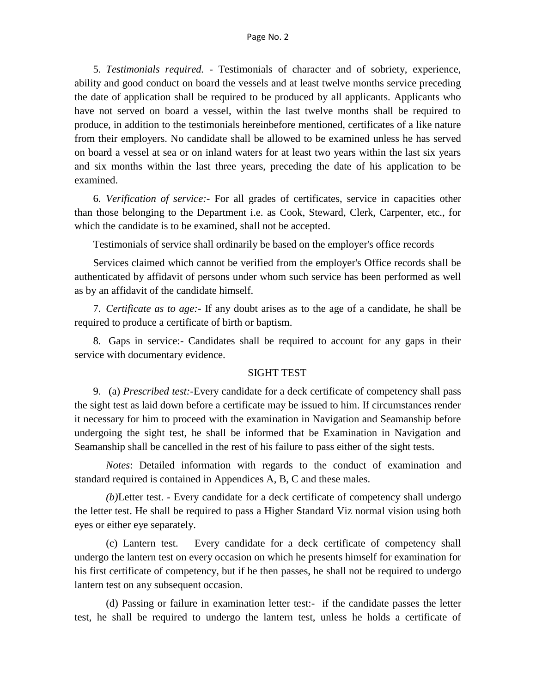5. *Testimonials required.* - Testimonials of character and of sobriety, experience, ability and good conduct on board the vessels and at least twelve months service preceding the date of application shall be required to be produced by all applicants. Applicants who have not served on board a vessel, within the last twelve months shall be required to produce, in addition to the testimonials hereinbefore mentioned, certificates of a like nature from their employers. No candidate shall be allowed to be examined unless he has served on board a vessel at sea or on inland waters for at least two years within the last six years and six months within the last three years, preceding the date of his application to be examined.

6. *Verification of service:-* For all grades of certificates, service in capacities other than those belonging to the Department i.e. as Cook, Steward, Clerk, Carpenter, etc., for which the candidate is to be examined, shall not be accepted.

Testimonials of service shall ordinarily be based on the employer's office records

Services claimed which cannot be verified from the employer's Office records shall be authenticated by affidavit of persons under whom such service has been performed as well as by an affidavit of the candidate himself.

7. *Certificate as to age:-* If any doubt arises as to the age of a candidate, he shall be required to produce a certificate of birth or baptism.

8. Gaps in service:- Candidates shall be required to account for any gaps in their service with documentary evidence.

### SIGHT TEST

9. (a) *Prescribed test:-*Every candidate for a deck certificate of competency shall pass the sight test as laid down before a certificate may be issued to him. If circumstances render it necessary for him to proceed with the examination in Navigation and Seamanship before undergoing the sight test, he shall be informed that be Examination in Navigation and Seamanship shall be cancelled in the rest of his failure to pass either of the sight tests.

*Notes*: Detailed information with regards to the conduct of examination and standard required is contained in Appendices A, B, C and these males.

*(b)*Letter test. - Every candidate for a deck certificate of competency shall undergo the letter test. He shall be required to pass a Higher Standard Viz normal vision using both eyes or either eye separately.

(c) Lantern test. – Every candidate for a deck certificate of competency shall undergo the lantern test on every occasion on which he presents himself for examination for his first certificate of competency, but if he then passes, he shall not be required to undergo lantern test on any subsequent occasion.

(d) Passing or failure in examination letter test:- if the candidate passes the letter test, he shall be required to undergo the lantern test, unless he holds a certificate of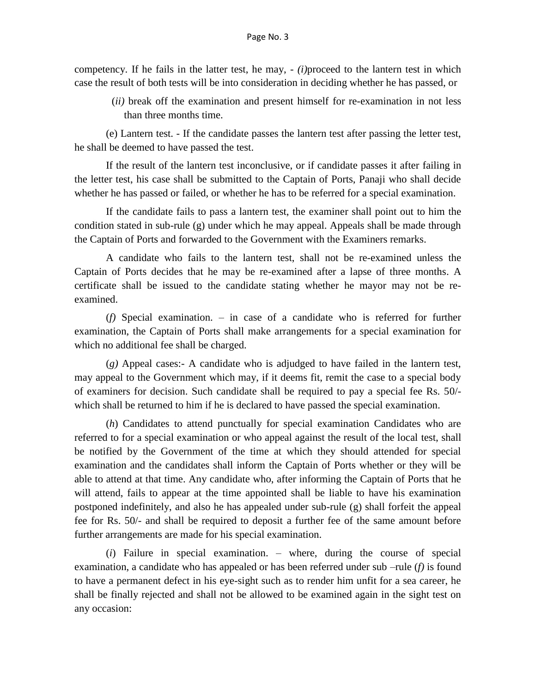competency. If he fails in the latter test, he may, - *(i)*proceed to the lantern test in which case the result of both tests will be into consideration in deciding whether he has passed, or

(*ii)* break off the examination and present himself for re-examination in not less than three months time.

(e) Lantern test. - If the candidate passes the lantern test after passing the letter test, he shall be deemed to have passed the test.

If the result of the lantern test inconclusive, or if candidate passes it after failing in the letter test, his case shall be submitted to the Captain of Ports, Panaji who shall decide whether he has passed or failed, or whether he has to be referred for a special examination.

If the candidate fails to pass a lantern test, the examiner shall point out to him the condition stated in sub-rule (g) under which he may appeal. Appeals shall be made through the Captain of Ports and forwarded to the Government with the Examiners remarks.

A candidate who fails to the lantern test, shall not be re-examined unless the Captain of Ports decides that he may be re-examined after a lapse of three months. A certificate shall be issued to the candidate stating whether he mayor may not be reexamined.

(*f)* Special examination. – in case of a candidate who is referred for further examination, the Captain of Ports shall make arrangements for a special examination for which no additional fee shall be charged.

(*g)* Appeal cases:- A candidate who is adjudged to have failed in the lantern test, may appeal to the Government which may, if it deems fit, remit the case to a special body of examiners for decision. Such candidate shall be required to pay a special fee Rs. 50/ which shall be returned to him if he is declared to have passed the special examination.

(*h*) Candidates to attend punctually for special examination Candidates who are referred to for a special examination or who appeal against the result of the local test, shall be notified by the Government of the time at which they should attended for special examination and the candidates shall inform the Captain of Ports whether or they will be able to attend at that time. Any candidate who, after informing the Captain of Ports that he will attend, fails to appear at the time appointed shall be liable to have his examination postponed indefinitely, and also he has appealed under sub-rule (g) shall forfeit the appeal fee for Rs. 50/- and shall be required to deposit a further fee of the same amount before further arrangements are made for his special examination.

(*i*) Failure in special examination. – where, during the course of special examination, a candidate who has appealed or has been referred under sub –rule (*f)* is found to have a permanent defect in his eye-sight such as to render him unfit for a sea career, he shall be finally rejected and shall not be allowed to be examined again in the sight test on any occasion: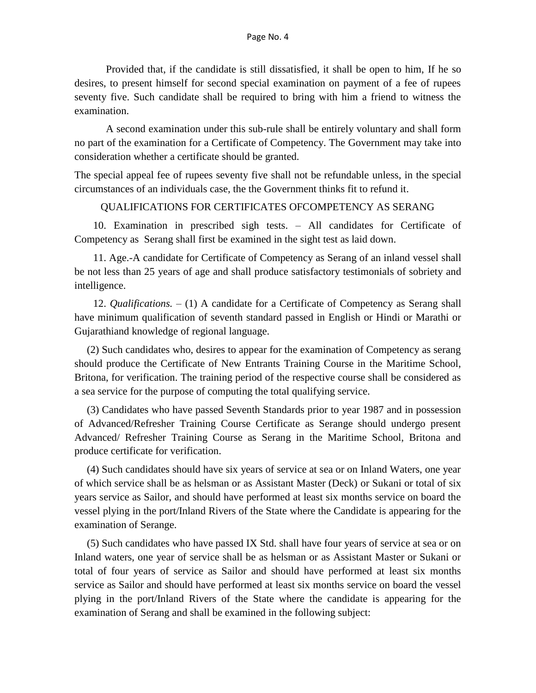Provided that, if the candidate is still dissatisfied, it shall be open to him, If he so desires, to present himself for second special examination on payment of a fee of rupees seventy five. Such candidate shall be required to bring with him a friend to witness the examination.

A second examination under this sub-rule shall be entirely voluntary and shall form no part of the examination for a Certificate of Competency. The Government may take into consideration whether a certificate should be granted.

The special appeal fee of rupees seventy five shall not be refundable unless, in the special circumstances of an individuals case, the the Government thinks fit to refund it.

### QUALIFICATIONS FOR CERTIFICATES OFCOMPETENCY AS SERANG

10. Examination in prescribed sigh tests. – All candidates for Certificate of Competency as Serang shall first be examined in the sight test as laid down.

11. Age.-A candidate for Certificate of Competency as Serang of an inland vessel shall be not less than 25 years of age and shall produce satisfactory testimonials of sobriety and intelligence.

12. *Qualifications. –* (1) A candidate for a Certificate of Competency as Serang shall have minimum qualification of seventh standard passed in English or Hindi or Marathi or Gujarathiand knowledge of regional language.

(2) Such candidates who, desires to appear for the examination of Competency as serang should produce the Certificate of New Entrants Training Course in the Maritime School, Britona, for verification. The training period of the respective course shall be considered as a sea service for the purpose of computing the total qualifying service.

(3) Candidates who have passed Seventh Standards prior to year 1987 and in possession of Advanced/Refresher Training Course Certificate as Serange should undergo present Advanced/ Refresher Training Course as Serang in the Maritime School, Britona and produce certificate for verification.

(4) Such candidates should have six years of service at sea or on Inland Waters, one year of which service shall be as helsman or as Assistant Master (Deck) or Sukani or total of six years service as Sailor, and should have performed at least six months service on board the vessel plying in the port/Inland Rivers of the State where the Candidate is appearing for the examination of Serange.

(5) Such candidates who have passed IX Std. shall have four years of service at sea or on Inland waters, one year of service shall be as helsman or as Assistant Master or Sukani or total of four years of service as Sailor and should have performed at least six months service as Sailor and should have performed at least six months service on board the vessel plying in the port/Inland Rivers of the State where the candidate is appearing for the examination of Serang and shall be examined in the following subject: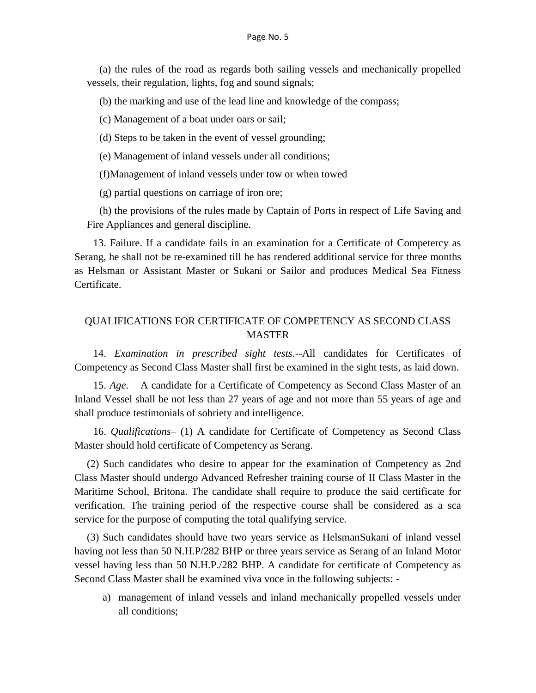(a) the rules of the road as regards both sailing vessels and mechanically propelled vessels, their regulation, lights, fog and sound signals;

(b) the marking and use of the lead line and knowledge of the compass;

(c) Management of a boat under oars or sail;

(d) Steps to be taken in the event of vessel grounding;

(e) Management of inland vessels under all conditions;

(f)Management of inland vessels under tow or when towed

(g) partial questions on carriage of iron ore;

(h) the provisions of the rules made by Captain of Ports in respect of Life Saving and Fire Appliances and general discipline.

13. Failure. If a candidate fails in an examination for a Certificate of Competercy as Serang, he shall not be re-examined till he has rendered additional service for three months as Helsman or Assistant Master or Sukani or Sailor and produces Medical Sea Fitness Certificate.

## QUALIFICATIONS FOR CERTIFICATE OF COMPETENCY AS SECOND CLASS MASTER

14. *Examination in prescribed sight tests.*--All candidates for Certificates of Competency as Second Class Master shall first be examined in the sight tests, as laid down.

15. *Age*. – A candidate for a Certificate of Competency as Second Class Master of an Inland Vessel shall be not less than 27 years of age and not more than 55 years of age and shall produce testimonials of sobriety and intelligence.

16. *Qualifications*– (1) A candidate for Certificate of Competency as Second Class Master should hold certificate of Competency as Serang.

(2) Such candidates who desire to appear for the examination of Competency as 2nd Class Master should undergo Advanced Refresher training course of II Class Master in the Maritime School, Britona. The candidate shall require to produce the said certificate for verification. The training period of the respective course shall be considered as a sca service for the purpose of computing the total qualifying service.

(3) Such candidates should have two years service as HelsmanSukani of inland vessel having not less than 50 N.H.P/282 BHP or three years service as Serang of an Inland Motor vessel having less than 50 N.H.P./282 BHP. A candidate for certificate of Competency as Second Class Master shall be examined viva voce in the following subjects: -

a) management of inland vessels and inland mechanically propelled vessels under all conditions;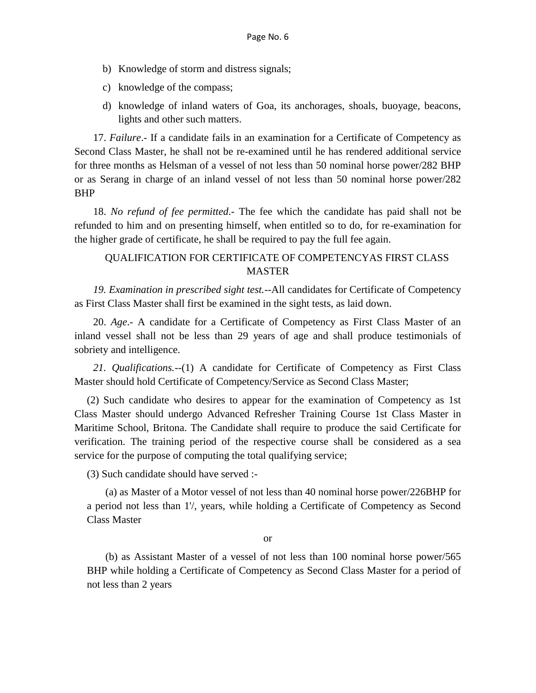- b) Knowledge of storm and distress signals;
- c) knowledge of the compass;
- d) knowledge of inland waters of Goa, its anchorages, shoals, buoyage, beacons, lights and other such matters.

17. *Failure*.- If a candidate fails in an examination for a Certificate of Competency as Second Class Master, he shall not be re-examined until he has rendered additional service for three months as Helsman of a vessel of not less than 50 nominal horse power/282 BHP or as Serang in charge of an inland vessel of not less than 50 nominal horse power/282 BHP

18. *No refund of fee permitted*.- The fee which the candidate has paid shall not be refunded to him and on presenting himself, when entitled so to do, for re-examination for the higher grade of certificate, he shall be required to pay the full fee again.

# QUALIFICATION FOR CERTIFICATE OF COMPETENCYAS FIRST CLASS MASTER

*19. Examination in prescribed sight test.--*All candidates for Certificate of Competency as First Class Master shall first be examined in the sight tests, as laid down.

20. *Age*.- A candidate for a Certificate of Competency as First Class Master of an inland vessel shall not be less than 29 years of age and shall produce testimonials of sobriety and intelligence.

*21. Qualifications.--*(1) A candidate for Certificate of Competency as First Class Master should hold Certificate of Competency/Service as Second Class Master;

(2) Such candidate who desires to appear for the examination of Competency as 1st Class Master should undergo Advanced Refresher Training Course 1st Class Master in Maritime School, Britona. The Candidate shall require to produce the said Certificate for verification. The training period of the respective course shall be considered as a sea service for the purpose of computing the total qualifying service;

(3) Such candidate should have served :-

(a) as Master of a Motor vessel of not less than 40 nominal horse power/226BHP for a period not less than 1'/, years, while holding a Certificate of Competency as Second Class Master

or

(b) as Assistant Master of a vessel of not less than 100 nominal horse power/565 BHP while holding a Certificate of Competency as Second Class Master for a period of not less than 2 years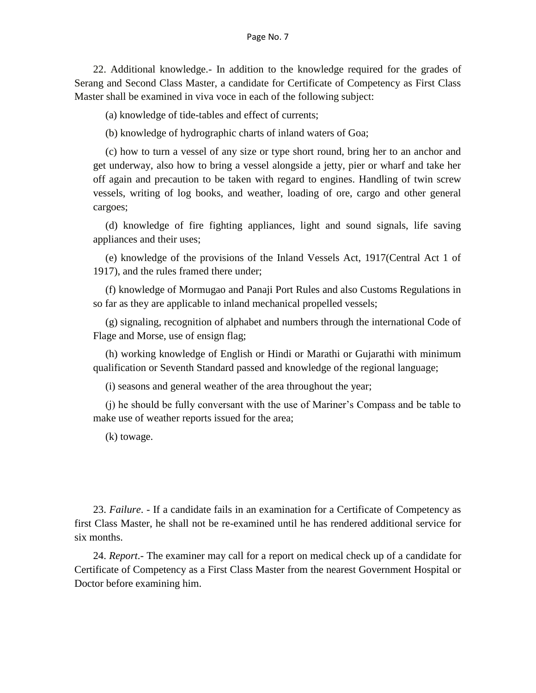22. Additional knowledge.- In addition to the knowledge required for the grades of Serang and Second Class Master, a candidate for Certificate of Competency as First Class Master shall be examined in viva voce in each of the following subject:

(a) knowledge of tide-tables and effect of currents;

(b) knowledge of hydrographic charts of inland waters of Goa;

(c) how to turn a vessel of any size or type short round, bring her to an anchor and get underway, also how to bring a vessel alongside a jetty, pier or wharf and take her off again and precaution to be taken with regard to engines. Handling of twin screw vessels, writing of log books, and weather, loading of ore, cargo and other general cargoes;

(d) knowledge of fire fighting appliances, light and sound signals, life saving appliances and their uses;

(e) knowledge of the provisions of the Inland Vessels Act, 1917(Central Act 1 of 1917), and the rules framed there under;

(f) knowledge of Mormugao and Panaji Port Rules and also Customs Regulations in so far as they are applicable to inland mechanical propelled vessels;

(g) signaling, recognition of alphabet and numbers through the international Code of Flage and Morse, use of ensign flag;

(h) working knowledge of English or Hindi or Marathi or Gujarathi with minimum qualification or Seventh Standard passed and knowledge of the regional language;

(i) seasons and general weather of the area throughout the year;

(j) he should be fully conversant with the use of Mariner's Compass and be table to make use of weather reports issued for the area;

(k) towage.

23. *Failure*. - If a candidate fails in an examination for a Certificate of Competency as first Class Master, he shall not be re-examined until he has rendered additional service for six months.

24. *Report*.- The examiner may call for a report on medical check up of a candidate for Certificate of Competency as a First Class Master from the nearest Government Hospital or Doctor before examining him.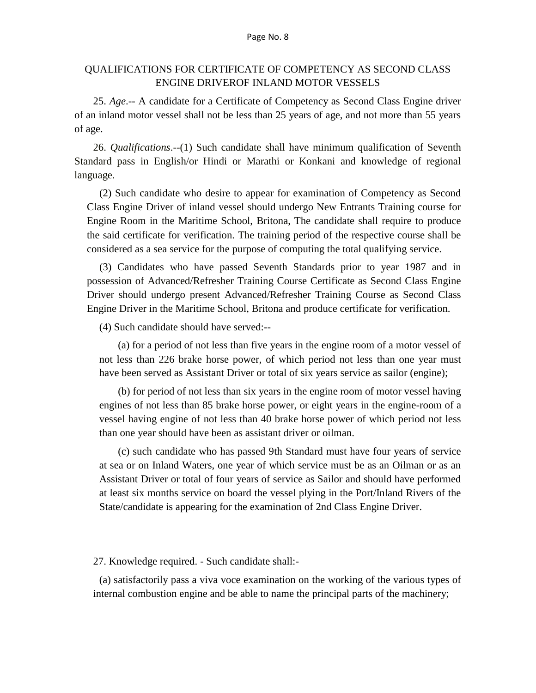## QUALIFICATIONS FOR CERTIFICATE OF COMPETENCY AS SECOND CLASS ENGINE DRIVEROF INLAND MOTOR VESSELS

25. *Age*.-- A candidate for a Certificate of Competency as Second Class Engine driver of an inland motor vessel shall not be less than 25 years of age, and not more than 55 years of age.

26. *Qualifications*.--(1) Such candidate shall have minimum qualification of Seventh Standard pass in English/or Hindi or Marathi or Konkani and knowledge of regional language.

(2) Such candidate who desire to appear for examination of Competency as Second Class Engine Driver of inland vessel should undergo New Entrants Training course for Engine Room in the Maritime School, Britona, The candidate shall require to produce the said certificate for verification. The training period of the respective course shall be considered as a sea service for the purpose of computing the total qualifying service.

(3) Candidates who have passed Seventh Standards prior to year 1987 and in possession of Advanced/Refresher Training Course Certificate as Second Class Engine Driver should undergo present Advanced/Refresher Training Course as Second Class Engine Driver in the Maritime School, Britona and produce certificate for verification.

(4) Such candidate should have served:--

(a) for a period of not less than five years in the engine room of a motor vessel of not less than 226 brake horse power, of which period not less than one year must have been served as Assistant Driver or total of six years service as sailor (engine);

(b) for period of not less than six years in the engine room of motor vessel having engines of not less than 85 brake horse power, or eight years in the engine-room of a vessel having engine of not less than 40 brake horse power of which period not less than one year should have been as assistant driver or oilman.

(c) such candidate who has passed 9th Standard must have four years of service at sea or on Inland Waters, one year of which service must be as an Oilman or as an Assistant Driver or total of four years of service as Sailor and should have performed at least six months service on board the vessel plying in the Port/Inland Rivers of the State/candidate is appearing for the examination of 2nd Class Engine Driver.

#### 27. Knowledge required. - Such candidate shall:-

(a) satisfactorily pass a viva voce examination on the working of the various types of internal combustion engine and be able to name the principal parts of the machinery;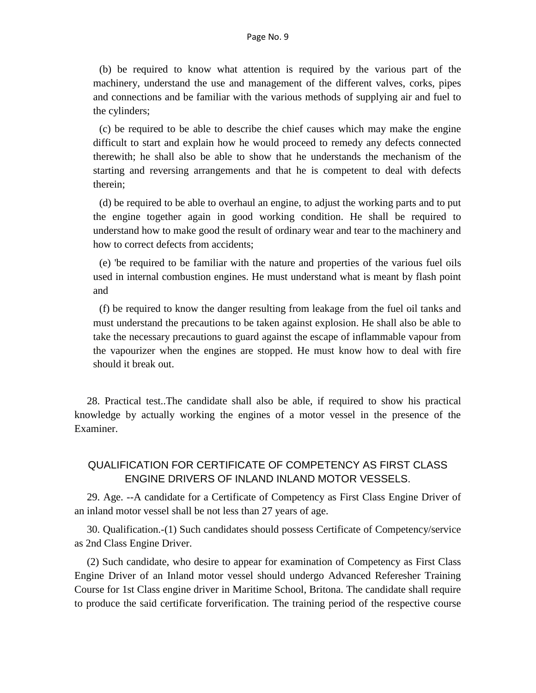(b) be required to know what attention is required by the various part of the machinery, understand the use and management of the different valves, corks, pipes and connections and be familiar with the various methods of supplying air and fuel to the cylinders;

(c) be required to be able to describe the chief causes which may make the engine difficult to start and explain how he would proceed to remedy any defects connected therewith; he shall also be able to show that he understands the mechanism of the starting and reversing arrangements and that he is competent to deal with defects therein;

(d) be required to be able to overhaul an engine, to adjust the working parts and to put the engine together again in good working condition. He shall be required to understand how to make good the result of ordinary wear and tear to the machinery and how to correct defects from accidents;

(e) 'be required to be familiar with the nature and properties of the various fuel oils used in internal combustion engines. He must understand what is meant by flash point and

(f) be required to know the danger resulting from leakage from the fuel oil tanks and must understand the precautions to be taken against explosion. He shall also be able to take the necessary precautions to guard against the escape of inflammable vapour from the vapourizer when the engines are stopped. He must know how to deal with fire should it break out.

28. Practical test..The candidate shall also be able, if required to show his practical knowledge by actually working the engines of a motor vessel in the presence of the Examiner.

# QUALIFICATION FOR CERTIFICATE OF COMPETENCY AS FIRST CLASS ENGINE DRIVERS OF INLAND INLAND MOTOR VESSELS.

29. Age. --A candidate for a Certificate of Competency as First Class Engine Driver of an inland motor vessel shall be not less than 27 years of age.

30. Qualification.-(1) Such candidates should possess Certificate of Competency/service as 2nd Class Engine Driver.

(2) Such candidate, who desire to appear for examination of Competency as First Class Engine Driver of an Inland motor vessel should undergo Advanced Referesher Training Course for 1st Class engine driver in Maritime School, Britona. The candidate shall require to produce the said certificate forverification. The training period of the respective course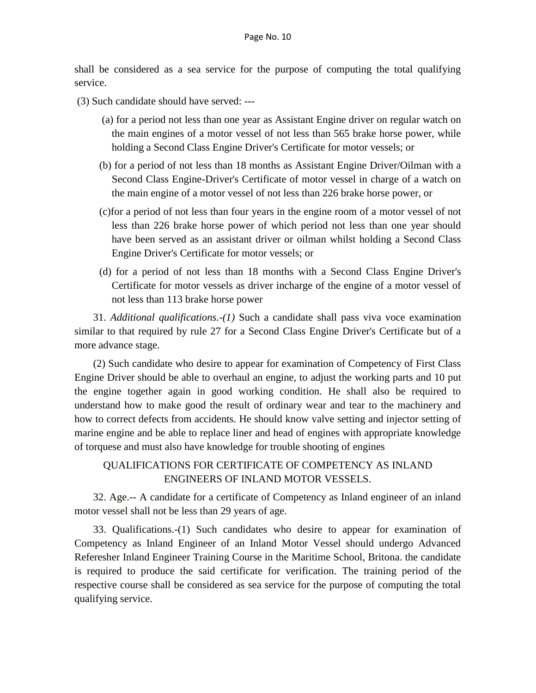shall be considered as a sea service for the purpose of computing the total qualifying service.

- (3) Such candidate should have served: ---
	- (a) for a period not less than one year as Assistant Engine driver on regular watch on the main engines of a motor vessel of not less than 565 brake horse power, while holding a Second Class Engine Driver's Certificate for motor vessels; or
	- (b) for a period of not less than 18 months as Assistant Engine Driver/Oilman with a Second Class Engine-Driver's Certificate of motor vessel in charge of a watch on the main engine of a motor vessel of not less than 226 brake horse power, or
	- (c)for a period of not less than four years in the engine room of a motor vessel of not less than 226 brake horse power of which period not less than one year should have been served as an assistant driver or oilman whilst holding a Second Class Engine Driver's Certificate for motor vessels; or
	- (d) for a period of not less than 18 months with a Second Class Engine Driver's Certificate for motor vessels as driver incharge of the engine of a motor vessel of not less than 113 brake horse power

31. *Additional qualifications.-(1)* Such a candidate shall pass viva voce examination similar to that required by rule 27 for a Second Class Engine Driver's Certificate but of a more advance stage.

(2) Such candidate who desire to appear for examination of Competency of First Class Engine Driver should be able to overhaul an engine, to adjust the working parts and 10 put the engine together again in good working condition. He shall also be required to understand how to make good the result of ordinary wear and tear to the machinery and how to correct defects from accidents. He should know valve setting and injector setting of marine engine and be able to replace liner and head of engines with appropriate knowledge of torquese and must also have knowledge for trouble shooting of engines

# QUALIFICATIONS FOR CERTIFICATE OF COMPETENCY AS INLAND ENGINEERS OF INLAND MOTOR VESSELS.

32. Age.-- A candidate for a certificate of Competency as Inland engineer of an inland motor vessel shall not be less than 29 years of age.

33. Qualifications.-(1) Such candidates who desire to appear for examination of Competency as Inland Engineer of an Inland Motor Vessel should undergo Advanced Referesher Inland Engineer Training Course in the Maritime School, Britona. the candidate is required to produce the said certificate for verification. The training period of the respective course shall be considered as sea service for the purpose of computing the total qualifying service.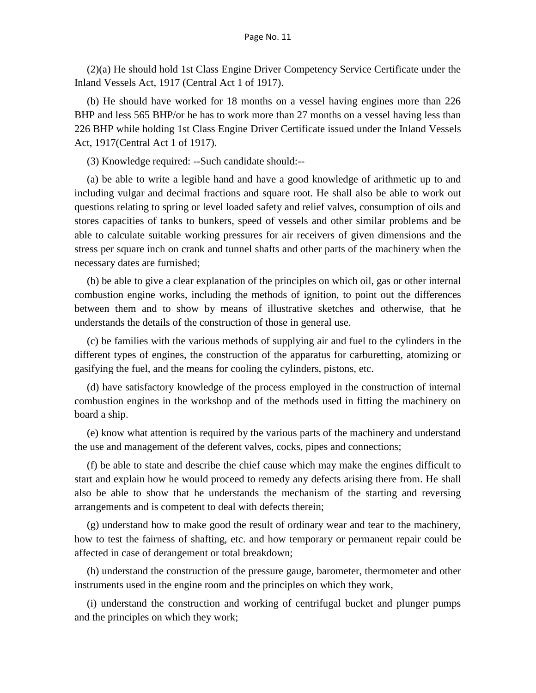(2)(a) He should hold 1st Class Engine Driver Competency Service Certificate under the Inland Vessels Act, 1917 (Central Act 1 of 1917).

(b) He should have worked for 18 months on a vessel having engines more than 226 BHP and less 565 BHP/or he has to work more than 27 months on a vessel having less than 226 BHP while holding 1st Class Engine Driver Certificate issued under the Inland Vessels Act, 1917(Central Act 1 of 1917).

(3) Knowledge required: --Such candidate should:--

(a) be able to write a legible hand and have a good knowledge of arithmetic up to and including vulgar and decimal fractions and square root. He shall also be able to work out questions relating to spring or level loaded safety and relief valves, consumption of oils and stores capacities of tanks to bunkers, speed of vessels and other similar problems and be able to calculate suitable working pressures for air receivers of given dimensions and the stress per square inch on crank and tunnel shafts and other parts of the machinery when the necessary dates are furnished;

(b) be able to give a clear explanation of the principles on which oil, gas or other internal combustion engine works, including the methods of ignition, to point out the differences between them and to show by means of illustrative sketches and otherwise, that he understands the details of the construction of those in general use.

(c) be families with the various methods of supplying air and fuel to the cylinders in the different types of engines, the construction of the apparatus for carburetting, atomizing or gasifying the fuel, and the means for cooling the cylinders, pistons, etc.

(d) have satisfactory knowledge of the process employed in the construction of internal combustion engines in the workshop and of the methods used in fitting the machinery on board a ship.

(e) know what attention is required by the various parts of the machinery and understand the use and management of the deferent valves, cocks, pipes and connections;

(f) be able to state and describe the chief cause which may make the engines difficult to start and explain how he would proceed to remedy any defects arising there from. He shall also be able to show that he understands the mechanism of the starting and reversing arrangements and is competent to deal with defects therein;

(g) understand how to make good the result of ordinary wear and tear to the machinery, how to test the fairness of shafting, etc. and how temporary or permanent repair could be affected in case of derangement or total breakdown;

(h) understand the construction of the pressure gauge, barometer, thermometer and other instruments used in the engine room and the principles on which they work,

(i) understand the construction and working of centrifugal bucket and plunger pumps and the principles on which they work;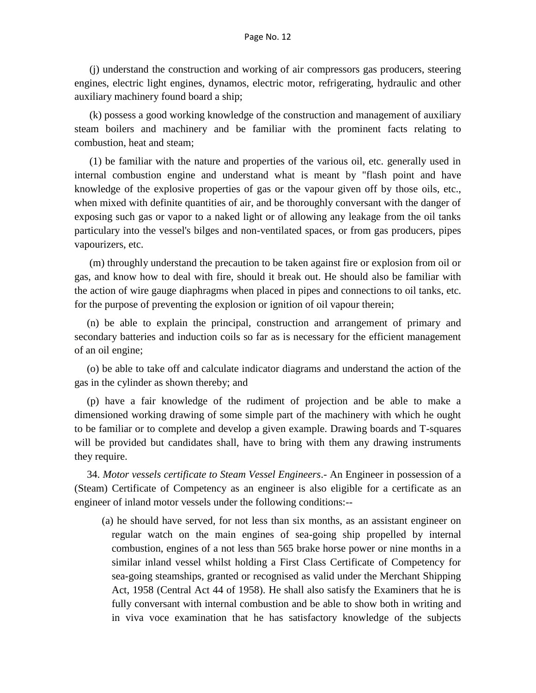(j) understand the construction and working of air compressors gas producers, steering engines, electric light engines, dynamos, electric motor, refrigerating, hydraulic and other auxiliary machinery found board a ship;

(k) possess a good working knowledge of the construction and management of auxiliary steam boilers and machinery and be familiar with the prominent facts relating to combustion, heat and steam;

(1) be familiar with the nature and properties of the various oil, etc. generally used in internal combustion engine and understand what is meant by "flash point and have knowledge of the explosive properties of gas or the vapour given off by those oils, etc., when mixed with definite quantities of air, and be thoroughly conversant with the danger of exposing such gas or vapor to a naked light or of allowing any leakage from the oil tanks particulary into the vessel's bilges and non-ventilated spaces, or from gas producers, pipes vapourizers, etc.

(m) throughly understand the precaution to be taken against fire or explosion from oil or gas, and know how to deal with fire, should it break out. He should also be familiar with the action of wire gauge diaphragms when placed in pipes and connections to oil tanks, etc. for the purpose of preventing the explosion or ignition of oil vapour therein;

(n) be able to explain the principal, construction and arrangement of primary and secondary batteries and induction coils so far as is necessary for the efficient management of an oil engine;

(o) be able to take off and calculate indicator diagrams and understand the action of the gas in the cylinder as shown thereby; and

(p) have a fair knowledge of the rudiment of projection and be able to make a dimensioned working drawing of some simple part of the machinery with which he ought to be familiar or to complete and develop a given example. Drawing boards and T-squares will be provided but candidates shall, have to bring with them any drawing instruments they require.

34. *Motor vessels certificate to Steam Vessel Engineers*.- An Engineer in possession of a (Steam) Certificate of Competency as an engineer is also eligible for a certificate as an engineer of inland motor vessels under the following conditions:--

(a) he should have served, for not less than six months, as an assistant engineer on regular watch on the main engines of sea-going ship propelled by internal combustion, engines of a not less than 565 brake horse power or nine months in a similar inland vessel whilst holding a First Class Certificate of Competency for sea-going steamships, granted or recognised as valid under the Merchant Shipping Act, 1958 (Central Act 44 of 1958). He shall also satisfy the Examiners that he is fully conversant with internal combustion and be able to show both in writing and in viva voce examination that he has satisfactory knowledge of the subjects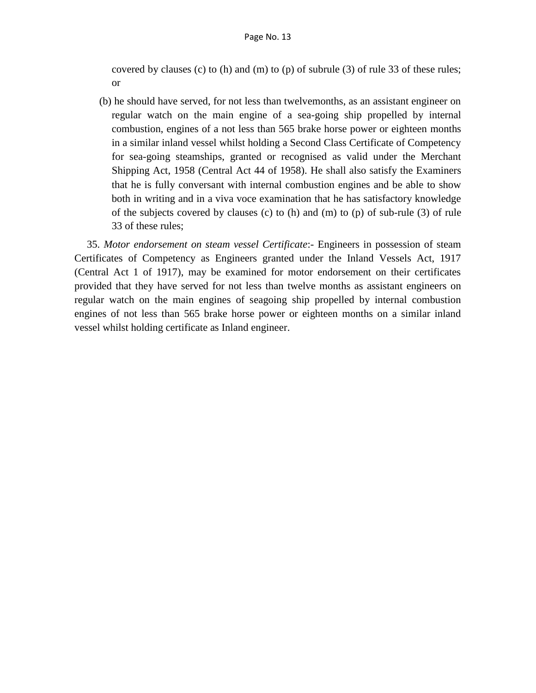covered by clauses (c) to (h) and (m) to (p) of subrule (3) of rule 33 of these rules; or

(b) he should have served, for not less than twelvemonths, as an assistant engineer on regular watch on the main engine of a sea-going ship propelled by internal combustion, engines of a not less than 565 brake horse power or eighteen months in a similar inland vessel whilst holding a Second Class Certificate of Competency for sea-going steamships, granted or recognised as valid under the Merchant Shipping Act, 1958 (Central Act 44 of 1958). He shall also satisfy the Examiners that he is fully conversant with internal combustion engines and be able to show both in writing and in a viva voce examination that he has satisfactory knowledge of the subjects covered by clauses (c) to (h) and (m) to (p) of sub-rule (3) of rule 33 of these rules;

35. *Motor endorsement on steam vessel Certificate*:- Engineers in possession of steam Certificates of Competency as Engineers granted under the Inland Vessels Act, 1917 (Central Act 1 of 1917), may be examined for motor endorsement on their certificates provided that they have served for not less than twelve months as assistant engineers on regular watch on the main engines of seagoing ship propelled by internal combustion engines of not less than 565 brake horse power or eighteen months on a similar inland vessel whilst holding certificate as Inland engineer.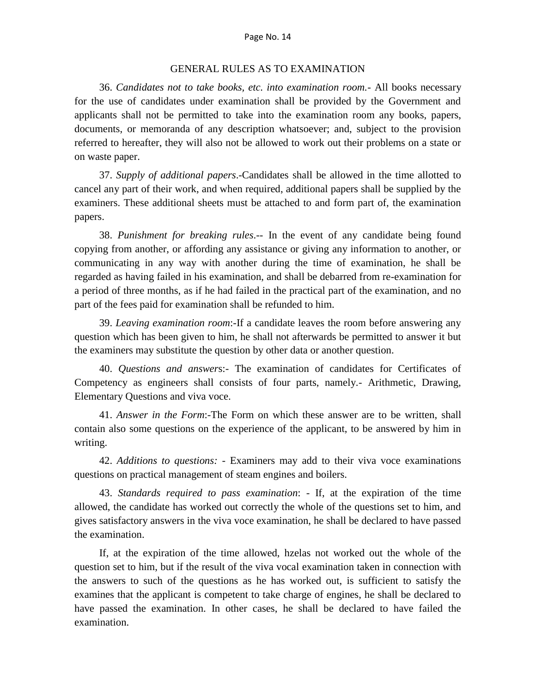### GENERAL RULES AS TO EXAMINATION

36. *Candidates not to take books, etc. into examination room.-* All books necessary for the use of candidates under examination shall be provided by the Government and applicants shall not be permitted to take into the examination room any books, papers, documents, or memoranda of any description whatsoever; and, subject to the provision referred to hereafter, they will also not be allowed to work out their problems on a state or on waste paper.

37. *Supply of additional papers*.-Candidates shall be allowed in the time allotted to cancel any part of their work, and when required, additional papers shall be supplied by the examiners. These additional sheets must be attached to and form part of, the examination papers.

38. *Punishment for breaking rules*.-- In the event of any candidate being found copying from another, or affording any assistance or giving any information to another, or communicating in any way with another during the time of examination, he shall be regarded as having failed in his examination, and shall be debarred from re-examination for a period of three months, as if he had failed in the practical part of the examination, and no part of the fees paid for examination shall be refunded to him.

39. *Leaving examination room*:-If a candidate leaves the room before answering any question which has been given to him, he shall not afterwards be permitted to answer it but the examiners may substitute the question by other data or another question.

40. *Questions and answer*s:- The examination of candidates for Certificates of Competency as engineers shall consists of four parts, namely.- Arithmetic, Drawing, Elementary Questions and viva voce.

41. *Answer in the Form*:-The Form on which these answer are to be written, shall contain also some questions on the experience of the applicant, to be answered by him in writing.

42. *Additions to questions: -* Examiners may add to their viva voce examinations questions on practical management of steam engines and boilers.

43. *Standards required to pass examination*: - If, at the expiration of the time allowed, the candidate has worked out correctly the whole of the questions set to him, and gives satisfactory answers in the viva voce examination, he shall be declared to have passed the examination.

If, at the expiration of the time allowed, hzelas not worked out the whole of the question set to him, but if the result of the viva vocal examination taken in connection with the answers to such of the questions as he has worked out, is sufficient to satisfy the examines that the applicant is competent to take charge of engines, he shall be declared to have passed the examination. In other cases, he shall be declared to have failed the examination.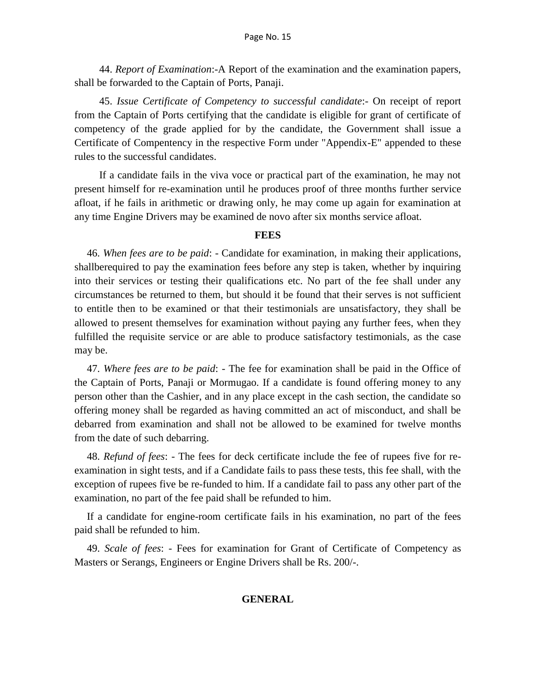44. *Report of Examination*:-A Report of the examination and the examination papers, shall be forwarded to the Captain of Ports, Panaji.

45. *Issue Certificate of Competency to successful candidate*:- On receipt of report from the Captain of Ports certifying that the candidate is eligible for grant of certificate of competency of the grade applied for by the candidate, the Government shall issue a Certificate of Compentency in the respective Form under "Appendix-E" appended to these rules to the successful candidates.

If a candidate fails in the viva voce or practical part of the examination, he may not present himself for re-examination until he produces proof of three months further service afloat, if he fails in arithmetic or drawing only, he may come up again for examination at any time Engine Drivers may be examined de novo after six months service afloat.

### **FEES**

46. *When fees are to be paid*: - Candidate for examination, in making their applications, shallberequired to pay the examination fees before any step is taken, whether by inquiring into their services or testing their qualifications etc. No part of the fee shall under any circumstances be returned to them, but should it be found that their serves is not sufficient to entitle then to be examined or that their testimonials are unsatisfactory, they shall be allowed to present themselves for examination without paying any further fees, when they fulfilled the requisite service or are able to produce satisfactory testimonials, as the case may be.

47. *Where fees are to be paid*: - The fee for examination shall be paid in the Office of the Captain of Ports, Panaji or Mormugao. If a candidate is found offering money to any person other than the Cashier, and in any place except in the cash section, the candidate so offering money shall be regarded as having committed an act of misconduct, and shall be debarred from examination and shall not be allowed to be examined for twelve months from the date of such debarring.

48. *Refund of fees*: - The fees for deck certificate include the fee of rupees five for reexamination in sight tests, and if a Candidate fails to pass these tests, this fee shall, with the exception of rupees five be re-funded to him. If a candidate fail to pass any other part of the examination, no part of the fee paid shall be refunded to him.

If a candidate for engine-room certificate fails in his examination, no part of the fees paid shall be refunded to him.

49. *Scale of fees*: - Fees for examination for Grant of Certificate of Competency as Masters or Serangs, Engineers or Engine Drivers shall be Rs. 200/-.

### **GENERAL**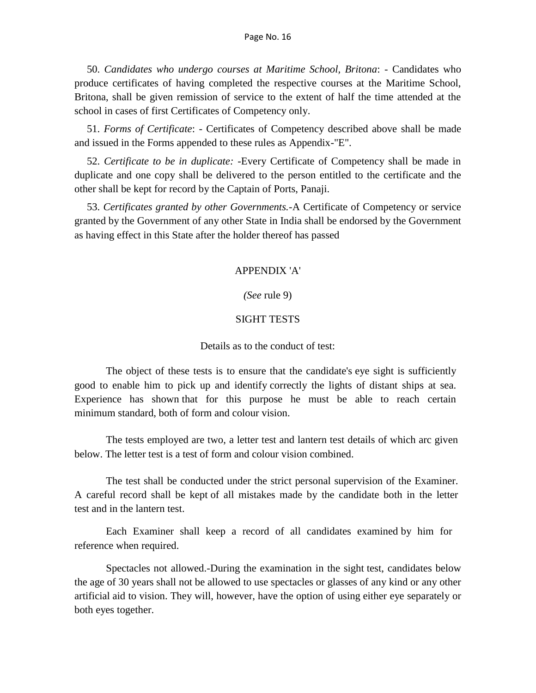50. *Candidates who undergo courses at Maritime School, Britona*: - Candidates who produce certificates of having completed the respective courses at the Maritime School, Britona, shall be given remission of service to the extent of half the time attended at the school in cases of first Certificates of Competency only.

51. *Forms of Certificate*: - Certificates of Competency described above shall be made and issued in the Forms appended to these rules as Appendix-"E".

52. *Certificate to be in duplicate: -*Every Certificate of Competency shall be made in duplicate and one copy shall be delivered to the person entitled to the certificate and the other shall be kept for record by the Captain of Ports, Panaji.

53. *Certificates granted by other Governments.-*A Certificate of Competency or service granted by the Government of any other State in India shall be endorsed by the Government as having effect in this State after the holder thereof has passed

## APPENDIX 'A'

### *(See* rule 9)

### SIGHT TESTS

## Details as to the conduct of test:

The object of these tests is to ensure that the candidate's eye sight is sufficiently good to enable him to pick up and identify correctly the lights of distant ships at sea. Experience has shown that for this purpose he must be able to reach certain minimum standard, both of form and colour vision.

The tests employed are two, a letter test and lantern test details of which arc given below. The letter test is a test of form and colour vision combined.

The test shall be conducted under the strict personal supervision of the Examiner. A careful record shall be kept of all mistakes made by the candidate both in the letter test and in the lantern test.

Each Examiner shall keep a record of all candidates examined by him for reference when required.

Spectacles not allowed.-During the examination in the sight test, candidates below the age of 30 years shall not be allowed to use spectacles or glasses of any kind or any other artificial aid to vision. They will, however, have the option of using either eye separately or both eyes together.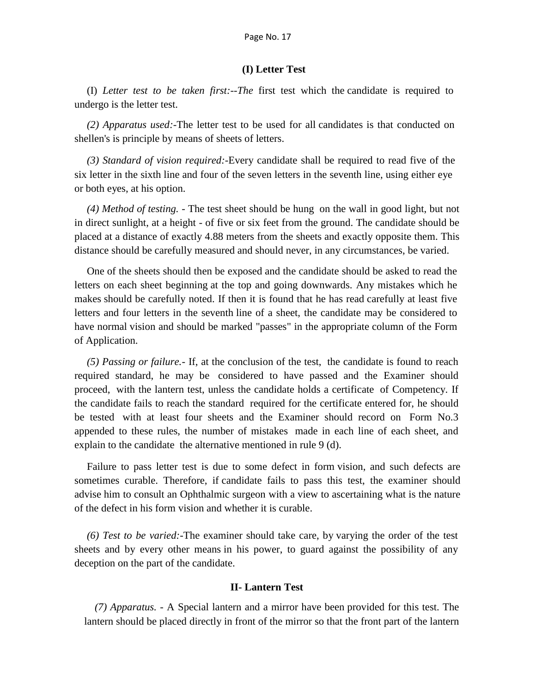### **(I) Letter Test**

(I) *Letter test to be taken first:--The* first test which the candidate is required to undergo is the letter test.

*(2) Apparatus used:*-The letter test to be used for all candidates is that conducted on shellen's is principle by means of sheets of letters.

*(3) Standard of vision required:*-Every candidate shall be required to read five of the six letter in the sixth line and four of the seven letters in the seventh line, using either eye or both eyes, at his option.

*(4) Method of testing.* - The test sheet should be hung on the wall in good light, but not in direct sunlight, at a height - of five or six feet from the ground. The candidate should be placed at a distance of exactly 4.88 meters from the sheets and exactly opposite them. This distance should be carefully measured and should never, in any circumstances, be varied.

One of the sheets should then be exposed and the candidate should be asked to read the letters on each sheet beginning at the top and going downwards. Any mistakes which he makes should be carefully noted. If then it is found that he has read carefully at least five letters and four letters in the seventh line of a sheet, the candidate may be considered to have normal vision and should be marked "passes" in the appropriate column of the Form of Application.

*(5) Passing or failure.-* If, at the conclusion of the test, the candidate is found to reach required standard, he may be considered to have passed and the Examiner should proceed, with the lantern test, unless the candidate holds a certificate of Competency. If the candidate fails to reach the standard required for the certificate entered for, he should be tested with at least four sheets and the Examiner should record on Form No.3 appended to these rules, the number of mistakes made in each line of each sheet, and explain to the candidate the alternative mentioned in rule 9 (d).

Failure to pass letter test is due to some defect in form vision, and such defects are sometimes curable. Therefore, if candidate fails to pass this test, the examiner should advise him to consult an Ophthalmic surgeon with a view to ascertaining what is the nature of the defect in his form vision and whether it is curable.

*(6) Test to be varied:-*The examiner should take care, by varying the order of the test sheets and by every other means in his power, to guard against the possibility of any deception on the part of the candidate.

### **II- Lantern Test**

*(7) Apparatus.* - A Special lantern and a mirror have been provided for this test. The lantern should be placed directly in front of the mirror so that the front part of the lantern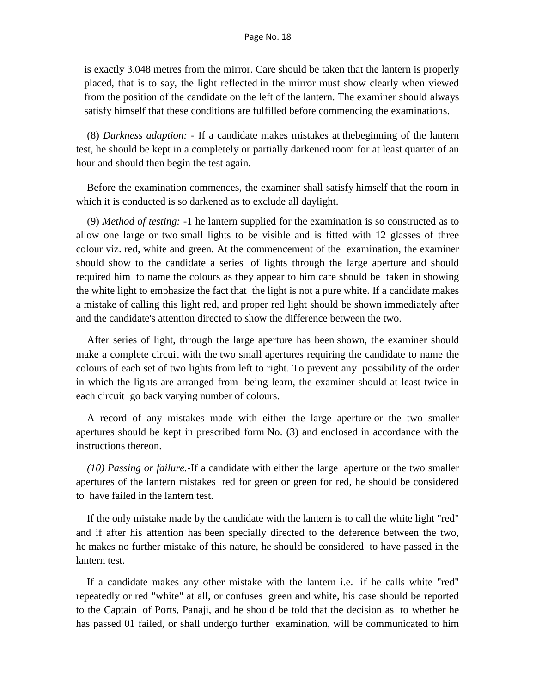is exactly 3.048 metres from the mirror. Care should be taken that the lantern is properly placed, that is to say, the light reflected in the mirror must show clearly when viewed from the position of the candidate on the left of the lantern. The examiner should always satisfy himself that these conditions are fulfilled before commencing the examinations.

(8) *Darkness adaption: -* If a candidate makes mistakes at thebeginning of the lantern test, he should be kept in a completely or partially darkened room for at least quarter of an hour and should then begin the test again.

Before the examination commences, the examiner shall satisfy himself that the room in which it is conducted is so darkened as to exclude all daylight.

(9) *Method of testing: -*1 he lantern supplied for the examination is so constructed as to allow one large or two small lights to be visible and is fitted with 12 glasses of three colour viz. red, white and green. At the commencement of the examination, the examiner should show to the candidate a series of lights through the large aperture and should required him to name the colours as they appear to him care should be taken in showing the white light to emphasize the fact that the light is not a pure white. If a candidate makes a mistake of calling this light red, and proper red light should be shown immediately after and the candidate's attention directed to show the difference between the two.

After series of light, through the large aperture has been shown, the examiner should make a complete circuit with the two small apertures requiring the candidate to name the colours of each set of two lights from left to right. To prevent any possibility of the order in which the lights are arranged from being learn, the examiner should at least twice in each circuit go back varying number of colours.

A record of any mistakes made with either the large aperture or the two smaller apertures should be kept in prescribed form No. (3) and enclosed in accordance with the instructions thereon.

*(10) Passing or failure.-*If a candidate with either the large aperture or the two smaller apertures of the lantern mistakes red for green or green for red, he should be considered to have failed in the lantern test.

If the only mistake made by the candidate with the lantern is to call the white light "red" and if after his attention has been specially directed to the deference between the two, he makes no further mistake of this nature, he should be considered to have passed in the lantern test.

If a candidate makes any other mistake with the lantern i.e. if he calls white "red" repeatedly or red "white" at all, or confuses green and white, his case should be reported to the Captain of Ports, Panaji, and he should be told that the decision as to whether he has passed 01 failed, or shall undergo further examination, will be communicated to him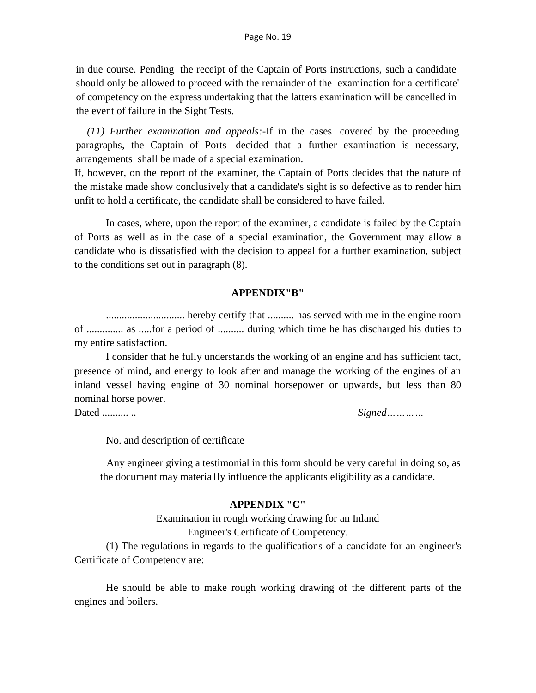in due course. Pending the receipt of the Captain of Ports instructions, such a candidate should only be allowed to proceed with the remainder of the examination for a certificate' of competency on the express undertaking that the latters examination will be cancelled in the event of failure in the Sight Tests.

*(11) Further examination and appeals:-*If in the cases covered by the proceeding paragraphs, the Captain of Ports decided that a further examination is necessary, arrangements shall be made of a special examination.

If, however, on the report of the examiner, the Captain of Ports decides that the nature of the mistake made show conclusively that a candidate's sight is so defective as to render him unfit to hold a certificate, the candidate shall be considered to have failed.

In cases, where, upon the report of the examiner, a candidate is failed by the Captain of Ports as well as in the case of a special examination, the Government may allow a candidate who is dissatisfied with the decision to appeal for a further examination, subject to the conditions set out in paragraph (8).

### **APPENDIX"B"**

.............................. hereby certify that .......... has served with me in the engine room of .............. as .....for a period of .......... during which time he has discharged his duties to my entire satisfaction.

I consider that he fully understands the working of an engine and has sufficient tact, presence of mind, and energy to look after and manage the working of the engines of an inland vessel having engine of 30 nominal horsepower or upwards, but less than 80 nominal horse power.

Dated .......... .. *Signed…………*

No. and description of certificate

Any engineer giving a testimonial in this form should be very careful in doing so, as the document may materia1ly influence the applicants eligibility as a candidate.

### **APPENDIX "C"**

Examination in rough working drawing for an Inland Engineer's Certificate of Competency.

(1) The regulations in regards to the qualifications of a candidate for an engineer's Certificate of Competency are:

He should be able to make rough working drawing of the different parts of the engines and boilers.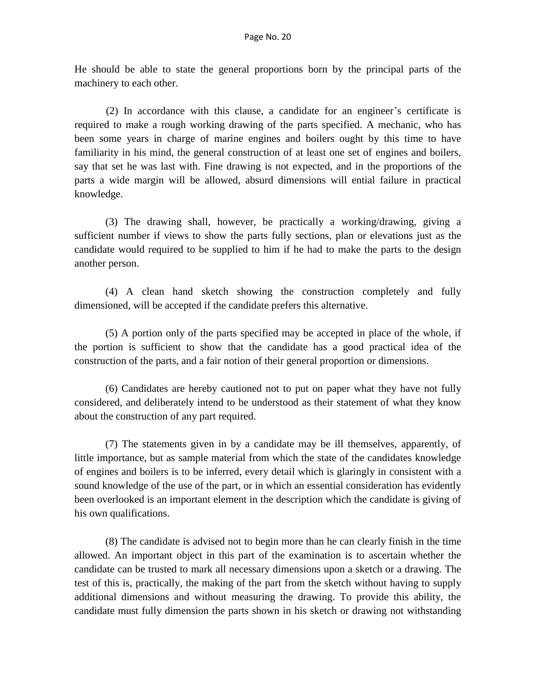He should be able to state the general proportions born by the principal parts of the machinery to each other.

(2) In accordance with this clause, a candidate for an engineer's certificate is required to make a rough working drawing of the parts specified. A mechanic, who has been some years in charge of marine engines and boilers ought by this time to have familiarity in his mind, the general construction of at least one set of engines and boilers, say that set he was last with. Fine drawing is not expected, and in the proportions of the parts a wide margin will be allowed, absurd dimensions will ential failure in practical knowledge.

(3) The drawing shall, however, be practically a working/drawing, giving a sufficient number if views to show the parts fully sections, plan or elevations just as the candidate would required to be supplied to him if he had to make the parts to the design another person.

(4) A clean hand sketch showing the construction completely and fully dimensioned, will be accepted if the candidate prefers this alternative.

(5) A portion only of the parts specified may be accepted in place of the whole, if the portion is sufficient to show that the candidate has a good practical idea of the construction of the parts, and a fair notion of their general proportion or dimensions.

(6) Candidates are hereby cautioned not to put on paper what they have not fully considered, and deliberately intend to be understood as their statement of what they know about the construction of any part required.

(7) The statements given in by a candidate may be ill themselves, apparently, of little importance, but as sample material from which the state of the candidates knowledge of engines and boilers is to be inferred, every detail which is glaringly in consistent with a sound knowledge of the use of the part, or in which an essential consideration has evidently been overlooked is an important element in the description which the candidate is giving of his own qualifications.

(8) The candidate is advised not to begin more than he can clearly finish in the time allowed. An important object in this part of the examination is to ascertain whether the candidate can be trusted to mark all necessary dimensions upon a sketch or a drawing. The test of this is, practically, the making of the part from the sketch without having to supply additional dimensions and without measuring the drawing. To provide this ability, the candidate must fully dimension the parts shown in his sketch or drawing not withstanding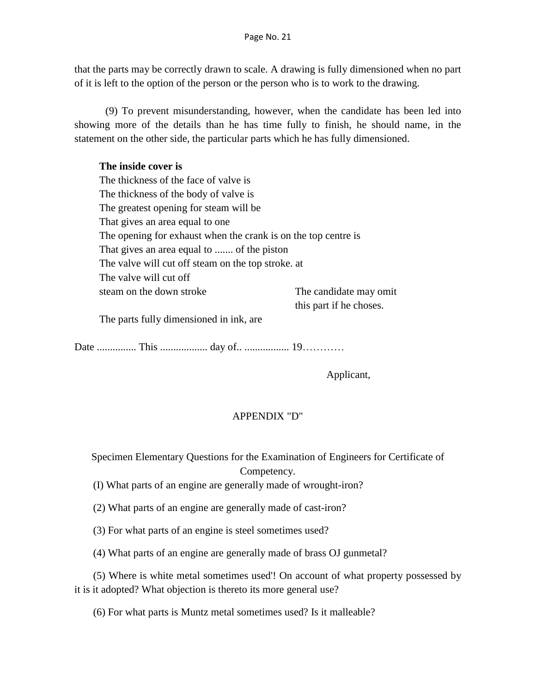that the parts may be correctly drawn to scale. A drawing is fully dimensioned when no part of it is left to the option of the person or the person who is to work to the drawing.

(9) To prevent misunderstanding, however, when the candidate has been led into showing more of the details than he has time fully to finish, he should name, in the statement on the other side, the particular parts which he has fully dimensioned.

## **The inside cover is**

The thickness of the face of valve is The thickness of the body of valve is The greatest opening for steam will be That gives an area equal to one The opening for exhaust when the crank is on the top centre is That gives an area equal to ....... of the piston The valve will cut off steam on the top stroke. at The valve will cut off steam on the down stroke The candidate may omit this part if he choses. The parts fully dimensioned in ink, are

Date ............... This .................. day of.. ................. 19…………

Applicant,

# APPENDIX "D"

Specimen Elementary Questions for the Examination of Engineers for Certificate of Competency.

(I) What parts of an engine are generally made of wrought-iron?

(2) What parts of an engine are generally made of cast-iron?

(3) For what parts of an engine is steel sometimes used?

(4) What parts of an engine are generally made of brass OJ gunmetal?

(5) Where is white metal sometimes used'! On account of what property possessed by it is it adopted? What objection is thereto its more general use?

(6) For what parts is Muntz metal sometimes used? Is it malleable?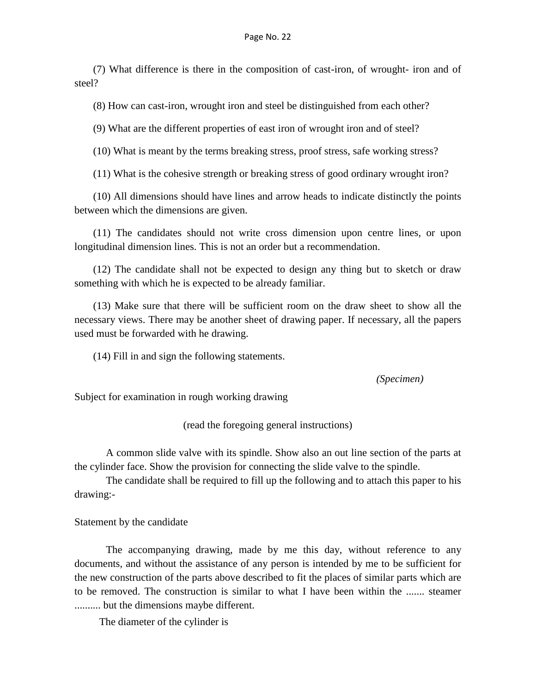(7) What difference is there in the composition of cast-iron, of wrought- iron and of steel?

(8) How can cast-iron, wrought iron and steel be distinguished from each other?

(9) What are the different properties of east iron of wrought iron and of steel?

(10) What is meant by the terms breaking stress, proof stress, safe working stress?

(11) What is the cohesive strength or breaking stress of good ordinary wrought iron?

(10) All dimensions should have lines and arrow heads to indicate distinctly the points between which the dimensions are given.

(11) The candidates should not write cross dimension upon centre lines, or upon longitudinal dimension lines. This is not an order but a recommendation.

(12) The candidate shall not be expected to design any thing but to sketch or draw something with which he is expected to be already familiar.

(13) Make sure that there will be sufficient room on the draw sheet to show all the necessary views. There may be another sheet of drawing paper. If necessary, all the papers used must be forwarded with he drawing.

(14) Fill in and sign the following statements.

*(Specimen)*

Subject for examination in rough working drawing

(read the foregoing general instructions)

A common slide valve with its spindle. Show also an out line section of the parts at the cylinder face. Show the provision for connecting the slide valve to the spindle.

The candidate shall be required to fill up the following and to attach this paper to his drawing:-

Statement by the candidate

The accompanying drawing, made by me this day, without reference to any documents, and without the assistance of any person is intended by me to be sufficient for the new construction of the parts above described to fit the places of similar parts which are to be removed. The construction is similar to what I have been within the ....... steamer .......... but the dimensions maybe different.

The diameter of the cylinder is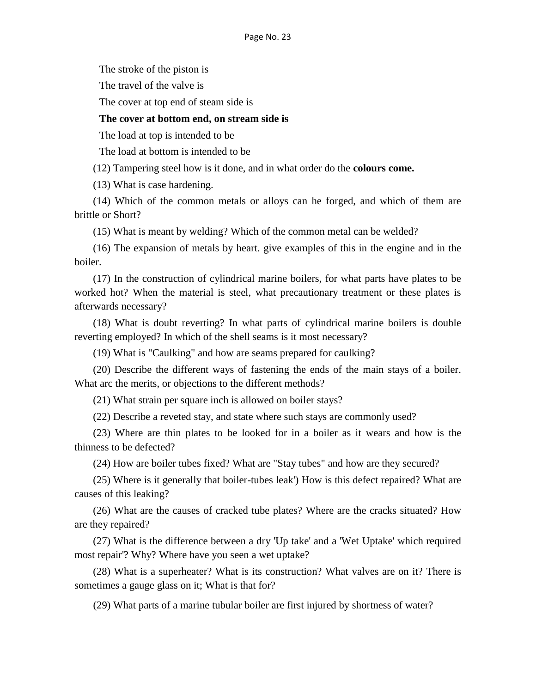The stroke of the piston is

The travel of the valve is

The cover at top end of steam side is

#### **The cover at bottom end, on stream side is**

The load at top is intended to be

The load at bottom is intended to be

(12) Tampering steel how is it done, and in what order do the **colours come.**

(13) What is case hardening.

(14) Which of the common metals or alloys can he forged, and which of them are brittle or Short?

(15) What is meant by welding? Which of the common metal can be welded?

(16) The expansion of metals by heart. give examples of this in the engine and in the boiler.

(17) In the construction of cylindrical marine boilers, for what parts have plates to be worked hot? When the material is steel, what precautionary treatment or these plates is afterwards necessary?

(18) What is doubt reverting? In what parts of cylindrical marine boilers is double reverting employed? In which of the shell seams is it most necessary?

(19) What is "Caulking" and how are seams prepared for caulking?

(20) Describe the different ways of fastening the ends of the main stays of a boiler. What arc the merits, or objections to the different methods?

(21) What strain per square inch is allowed on boiler stays?

(22) Describe a reveted stay, and state where such stays are commonly used?

(23) Where are thin plates to be looked for in a boiler as it wears and how is the thinness to be defected?

(24) How are boiler tubes fixed? What are "Stay tubes" and how are they secured?

(25) Where is it generally that boiler-tubes leak') How is this defect repaired? What are causes of this leaking?

(26) What are the causes of cracked tube plates? Where are the cracks situated? How are they repaired?

(27) What is the difference between a dry 'Up take' and a 'Wet Uptake' which required most repair'? Why? Where have you seen a wet uptake?

(28) What is a superheater? What is its construction? What valves are on it? There is sometimes a gauge glass on it; What is that for?

(29) What parts of a marine tubular boiler are first injured by shortness of water?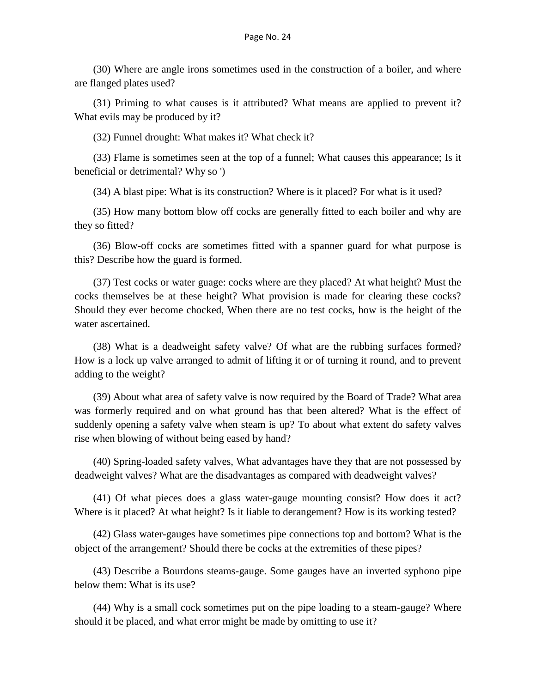(30) Where are angle irons sometimes used in the construction of a boiler, and where are flanged plates used?

(31) Priming to what causes is it attributed? What means are applied to prevent it? What evils may be produced by it?

(32) Funnel drought: What makes it? What check it?

(33) Flame is sometimes seen at the top of a funnel; What causes this appearance; Is it beneficial or detrimental? Why so ')

(34) A blast pipe: What is its construction? Where is it placed? For what is it used?

(35) How many bottom blow off cocks are generally fitted to each boiler and why are they so fitted?

(36) Blow-off cocks are sometimes fitted with a spanner guard for what purpose is this? Describe how the guard is formed.

(37) Test cocks or water guage: cocks where are they placed? At what height? Must the cocks themselves be at these height? What provision is made for clearing these cocks? Should they ever become chocked, When there are no test cocks, how is the height of the water ascertained.

(38) What is a deadweight safety valve? Of what are the rubbing surfaces formed? How is a lock up valve arranged to admit of lifting it or of turning it round, and to prevent adding to the weight?

(39) About what area of safety valve is now required by the Board of Trade? What area was formerly required and on what ground has that been altered? What is the effect of suddenly opening a safety valve when steam is up? To about what extent do safety valves rise when blowing of without being eased by hand?

(40) Spring-loaded safety valves, What advantages have they that are not possessed by deadweight valves? What are the disadvantages as compared with deadweight valves?

(41) Of what pieces does a glass water-gauge mounting consist? How does it act? Where is it placed? At what height? Is it liable to derangement? How is its working tested?

(42) Glass water-gauges have sometimes pipe connections top and bottom? What is the object of the arrangement? Should there be cocks at the extremities of these pipes?

(43) Describe a Bourdons steams-gauge. Some gauges have an inverted syphono pipe below them: What is its use?

(44) Why is a small cock sometimes put on the pipe loading to a steam-gauge? Where should it be placed, and what error might be made by omitting to use it?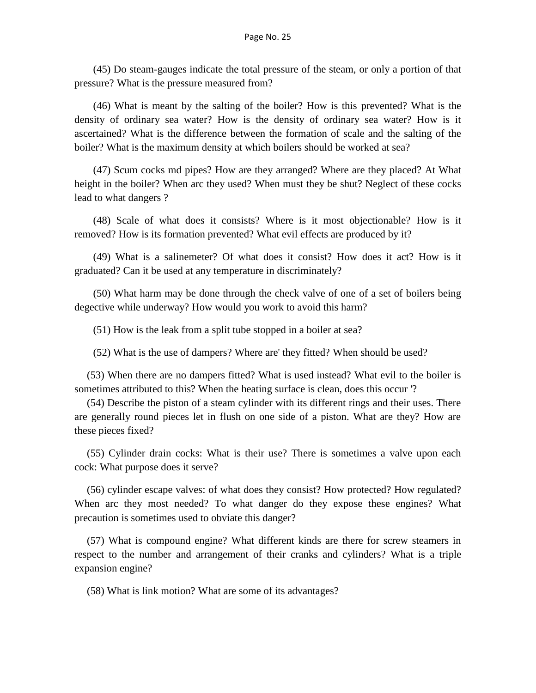(45) Do steam-gauges indicate the total pressure of the steam, or only a portion of that pressure? What is the pressure measured from?

(46) What is meant by the salting of the boiler? How is this prevented? What is the density of ordinary sea water? How is the density of ordinary sea water? How is it ascertained? What is the difference between the formation of scale and the salting of the boiler? What is the maximum density at which boilers should be worked at sea?

(47) Scum cocks md pipes? How are they arranged? Where are they placed? At What height in the boiler? When arc they used? When must they be shut? Neglect of these cocks lead to what dangers ?

(48) Scale of what does it consists? Where is it most objectionable? How is it removed? How is its formation prevented? What evil effects are produced by it?

(49) What is a salinemeter? Of what does it consist? How does it act? How is it graduated? Can it be used at any temperature in discriminately?

(50) What harm may be done through the check valve of one of a set of boilers being degective while underway? How would you work to avoid this harm?

(51) How is the leak from a split tube stopped in a boiler at sea?

(52) What is the use of dampers? Where are' they fitted? When should be used?

(53) When there are no dampers fitted? What is used instead? What evil to the boiler is sometimes attributed to this? When the heating surface is clean, does this occur '?

(54) Describe the piston of a steam cylinder with its different rings and their uses. There are generally round pieces let in flush on one side of a piston. What are they? How are these pieces fixed?

(55) Cylinder drain cocks: What is their use? There is sometimes a valve upon each cock: What purpose does it serve?

(56) cylinder escape valves: of what does they consist? How protected? How regulated? When arc they most needed? To what danger do they expose these engines? What precaution is sometimes used to obviate this danger?

(57) What is compound engine? What different kinds are there for screw steamers in respect to the number and arrangement of their cranks and cylinders? What is a triple expansion engine?

(58) What is link motion? What are some of its advantages?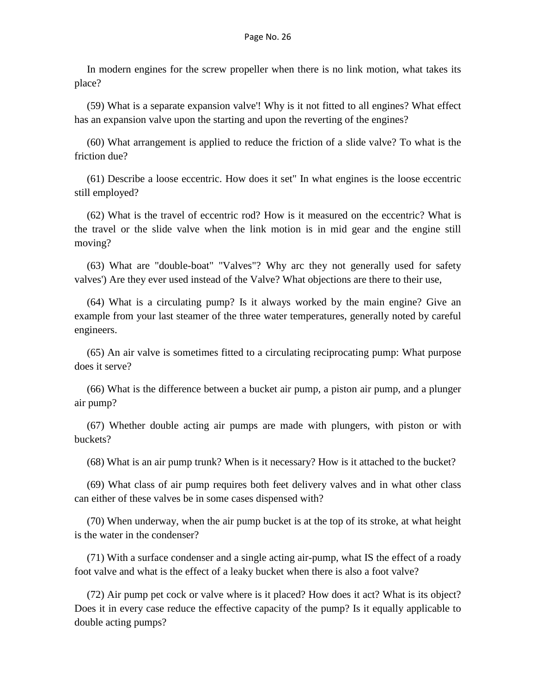In modern engines for the screw propeller when there is no link motion, what takes its place?

(59) What is a separate expansion valve'! Why is it not fitted to all engines? What effect has an expansion valve upon the starting and upon the reverting of the engines?

(60) What arrangement is applied to reduce the friction of a slide valve? To what is the friction due?

(61) Describe a loose eccentric. How does it set" In what engines is the loose eccentric still employed?

(62) What is the travel of eccentric rod? How is it measured on the eccentric? What is the travel or the slide valve when the link motion is in mid gear and the engine still moving?

(63) What are "double-boat" "Valves"? Why arc they not generally used for safety valves') Are they ever used instead of the Valve? What objections are there to their use,

(64) What is a circulating pump? Is it always worked by the main engine? Give an example from your last steamer of the three water temperatures, generally noted by careful engineers.

(65) An air valve is sometimes fitted to a circulating reciprocating pump: What purpose does it serve?

(66) What is the difference between a bucket air pump, a piston air pump, and a plunger air pump?

(67) Whether double acting air pumps are made with plungers, with piston or with buckets?

(68) What is an air pump trunk? When is it necessary? How is it attached to the bucket?

(69) What class of air pump requires both feet delivery valves and in what other class can either of these valves be in some cases dispensed with?

(70) When underway, when the air pump bucket is at the top of its stroke, at what height is the water in the condenser?

(71) With a surface condenser and a single acting air-pump, what IS the effect of a roady foot valve and what is the effect of a leaky bucket when there is also a foot valve?

(72) Air pump pet cock or valve where is it placed? How does it act? What is its object? Does it in every case reduce the effective capacity of the pump? Is it equally applicable to double acting pumps?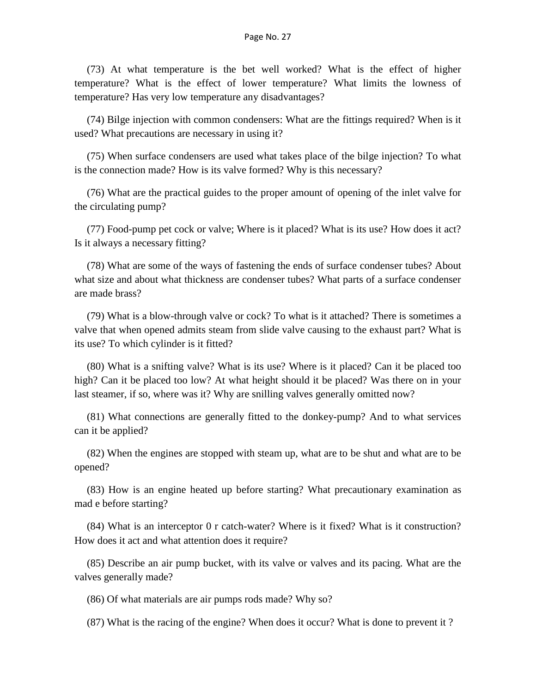(73) At what temperature is the bet well worked? What is the effect of higher temperature? What is the effect of lower temperature? What limits the lowness of temperature? Has very low temperature any disadvantages?

(74) Bilge injection with common condensers: What are the fittings required? When is it used? What precautions are necessary in using it?

(75) When surface condensers are used what takes place of the bilge injection? To what is the connection made? How is its valve formed? Why is this necessary?

(76) What are the practical guides to the proper amount of opening of the inlet valve for the circulating pump?

(77) Food-pump pet cock or valve; Where is it placed? What is its use? How does it act? Is it always a necessary fitting?

(78) What are some of the ways of fastening the ends of surface condenser tubes? About what size and about what thickness are condenser tubes? What parts of a surface condenser are made brass?

(79) What is a blow-through valve or cock? To what is it attached? There is sometimes a valve that when opened admits steam from slide valve causing to the exhaust part? What is its use? To which cylinder is it fitted?

(80) What is a snifting valve? What is its use? Where is it placed? Can it be placed too high? Can it be placed too low? At what height should it be placed? Was there on in your last steamer, if so, where was it? Why are snilling valves generally omitted now?

(81) What connections are generally fitted to the donkey-pump? And to what services can it be applied?

(82) When the engines are stopped with steam up, what are to be shut and what are to be opened?

(83) How is an engine heated up before starting? What precautionary examination as mad e before starting?

(84) What is an interceptor 0 r catch-water? Where is it fixed? What is it construction? How does it act and what attention does it require?

(85) Describe an air pump bucket, with its valve or valves and its pacing. What are the valves generally made?

(86) Of what materials are air pumps rods made? Why so?

(87) What is the racing of the engine? When does it occur? What is done to prevent it ?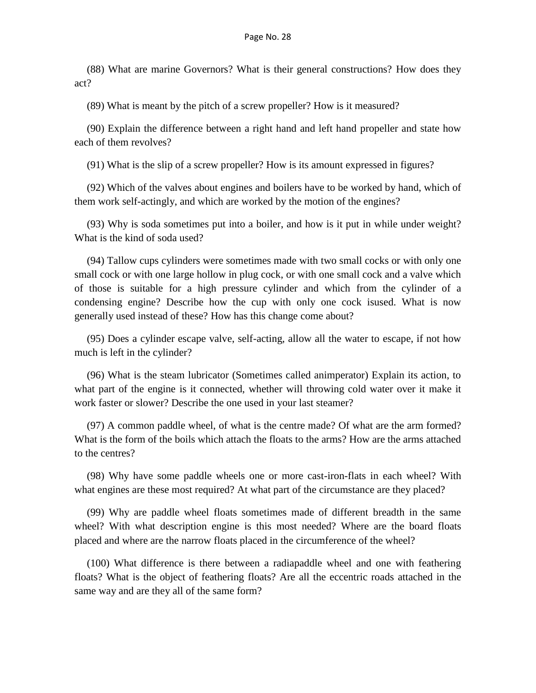(88) What are marine Governors? What is their general constructions? How does they act?

(89) What is meant by the pitch of a screw propeller? How is it measured?

(90) Explain the difference between a right hand and left hand propeller and state how each of them revolves?

(91) What is the slip of a screw propeller? How is its amount expressed in figures?

(92) Which of the valves about engines and boilers have to be worked by hand, which of them work self-actingly, and which are worked by the motion of the engines?

(93) Why is soda sometimes put into a boiler, and how is it put in while under weight? What is the kind of soda used?

(94) Tallow cups cylinders were sometimes made with two small cocks or with only one small cock or with one large hollow in plug cock, or with one small cock and a valve which of those is suitable for a high pressure cylinder and which from the cylinder of a condensing engine? Describe how the cup with only one cock isused. What is now generally used instead of these? How has this change come about?

(95) Does a cylinder escape valve, self-acting, allow all the water to escape, if not how much is left in the cylinder?

(96) What is the steam lubricator (Sometimes called animperator) Explain its action, to what part of the engine is it connected, whether will throwing cold water over it make it work faster or slower? Describe the one used in your last steamer?

(97) A common paddle wheel, of what is the centre made? Of what are the arm formed? What is the form of the boils which attach the floats to the arms? How are the arms attached to the centres?

(98) Why have some paddle wheels one or more cast-iron-flats in each wheel? With what engines are these most required? At what part of the circumstance are they placed?

(99) Why are paddle wheel floats sometimes made of different breadth in the same wheel? With what description engine is this most needed? Where are the board floats placed and where are the narrow floats placed in the circumference of the wheel?

(100) What difference is there between a radiapaddle wheel and one with feathering floats? What is the object of feathering floats? Are all the eccentric roads attached in the same way and are they all of the same form?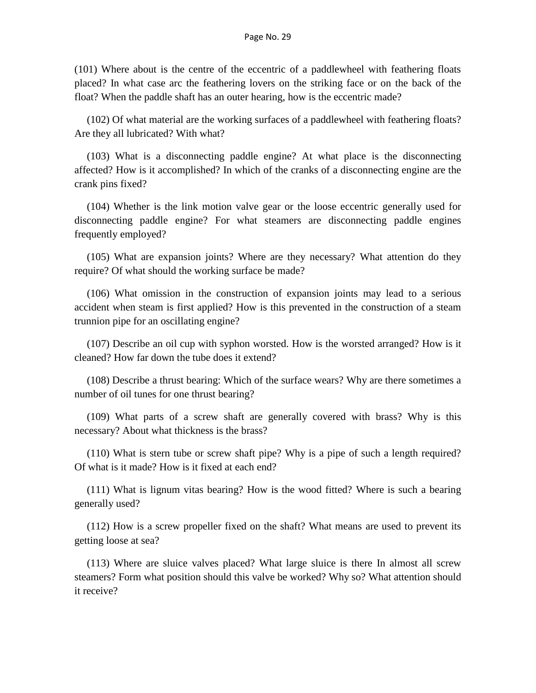(101) Where about is the centre of the eccentric of a paddlewheel with feathering floats placed? In what case arc the feathering lovers on the striking face or on the back of the float? When the paddle shaft has an outer hearing, how is the eccentric made?

(102) Of what material are the working surfaces of a paddlewheel with feathering floats? Are they all lubricated? With what?

(103) What is a disconnecting paddle engine? At what place is the disconnecting affected? How is it accomplished? In which of the cranks of a disconnecting engine are the crank pins fixed?

(104) Whether is the link motion valve gear or the loose eccentric generally used for disconnecting paddle engine? For what steamers are disconnecting paddle engines frequently employed?

(105) What are expansion joints? Where are they necessary? What attention do they require? Of what should the working surface be made?

(106) What omission in the construction of expansion joints may lead to a serious accident when steam is first applied? How is this prevented in the construction of a steam trunnion pipe for an oscillating engine?

(107) Describe an oil cup with syphon worsted. How is the worsted arranged? How is it cleaned? How far down the tube does it extend?

(108) Describe a thrust bearing: Which of the surface wears? Why are there sometimes a number of oil tunes for one thrust bearing?

(109) What parts of a screw shaft are generally covered with brass? Why is this necessary? About what thickness is the brass?

(110) What is stern tube or screw shaft pipe? Why is a pipe of such a length required? Of what is it made? How is it fixed at each end?

(111) What is lignum vitas bearing? How is the wood fitted? Where is such a bearing generally used?

(112) How is a screw propeller fixed on the shaft? What means are used to prevent its getting loose at sea?

(113) Where are sluice valves placed? What large sluice is there In almost all screw steamers? Form what position should this valve be worked? Why so? What attention should it receive?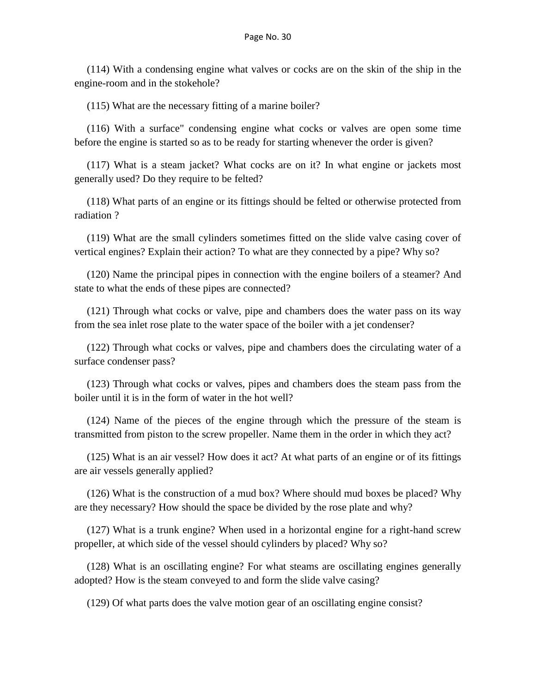(114) With a condensing engine what valves or cocks are on the skin of the ship in the engine-room and in the stokehole?

(115) What are the necessary fitting of a marine boiler?

(116) With a surface" condensing engine what cocks or valves are open some time before the engine is started so as to be ready for starting whenever the order is given?

(117) What is a steam jacket? What cocks are on it? In what engine or jackets most generally used? Do they require to be felted?

(118) What parts of an engine or its fittings should be felted or otherwise protected from radiation ?

(119) What are the small cylinders sometimes fitted on the slide valve casing cover of vertical engines? Explain their action? To what are they connected by a pipe? Why so?

(120) Name the principal pipes in connection with the engine boilers of a steamer? And state to what the ends of these pipes are connected?

(121) Through what cocks or valve, pipe and chambers does the water pass on its way from the sea inlet rose plate to the water space of the boiler with a jet condenser?

(122) Through what cocks or valves, pipe and chambers does the circulating water of a surface condenser pass?

(123) Through what cocks or valves, pipes and chambers does the steam pass from the boiler until it is in the form of water in the hot well?

(124) Name of the pieces of the engine through which the pressure of the steam is transmitted from piston to the screw propeller. Name them in the order in which they act?

(125) What is an air vessel? How does it act? At what parts of an engine or of its fittings are air vessels generally applied?

(126) What is the construction of a mud box? Where should mud boxes be placed? Why are they necessary? How should the space be divided by the rose plate and why?

(127) What is a trunk engine? When used in a horizontal engine for a right-hand screw propeller, at which side of the vessel should cylinders by placed? Why so?

(128) What is an oscillating engine? For what steams are oscillating engines generally adopted? How is the steam conveyed to and form the slide valve casing?

(129) Of what parts does the valve motion gear of an oscillating engine consist?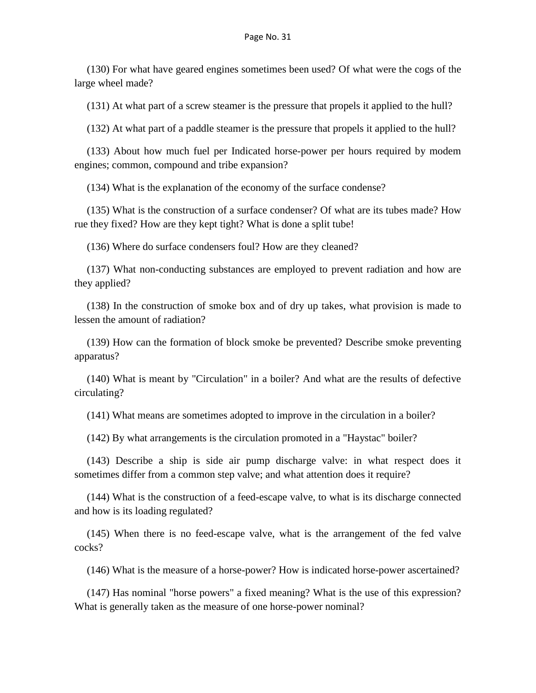(130) For what have geared engines sometimes been used? Of what were the cogs of the large wheel made?

(131) At what part of a screw steamer is the pressure that propels it applied to the hull?

(132) At what part of a paddle steamer is the pressure that propels it applied to the hull?

(133) About how much fuel per Indicated horse-power per hours required by modem engines; common, compound and tribe expansion?

(134) What is the explanation of the economy of the surface condense?

(135) What is the construction of a surface condenser? Of what are its tubes made? How rue they fixed? How are they kept tight? What is done a split tube!

(136) Where do surface condensers foul? How are they cleaned?

(137) What non-conducting substances are employed to prevent radiation and how are they applied?

(138) In the construction of smoke box and of dry up takes, what provision is made to lessen the amount of radiation?

(139) How can the formation of block smoke be prevented? Describe smoke preventing apparatus?

(140) What is meant by "Circulation" in a boiler? And what are the results of defective circulating?

(141) What means are sometimes adopted to improve in the circulation in a boiler?

(142) By what arrangements is the circulation promoted in a "Haystac" boiler?

(143) Describe a ship is side air pump discharge valve: in what respect does it sometimes differ from a common step valve; and what attention does it require?

(144) What is the construction of a feed-escape valve, to what is its discharge connected and how is its loading regulated?

(145) When there is no feed-escape valve, what is the arrangement of the fed valve cocks?

(146) What is the measure of a horse-power? How is indicated horse-power ascertained?

(147) Has nominal "horse powers" a fixed meaning? What is the use of this expression? What is generally taken as the measure of one horse-power nominal?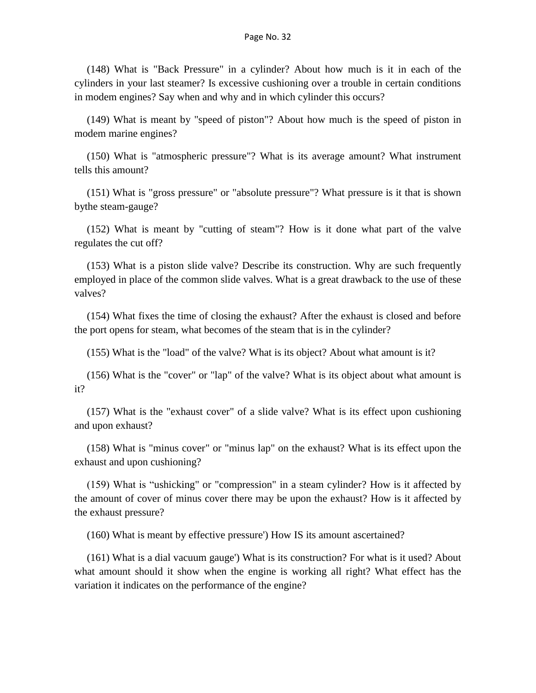(148) What is "Back Pressure" in a cylinder? About how much is it in each of the cylinders in your last steamer? Is excessive cushioning over a trouble in certain conditions in modem engines? Say when and why and in which cylinder this occurs?

(149) What is meant by "speed of piston"? About how much is the speed of piston in modem marine engines?

(150) What is "atmospheric pressure"? What is its average amount? What instrument tells this amount?

(151) What is "gross pressure" or "absolute pressure"? What pressure is it that is shown bythe steam-gauge?

(152) What is meant by "cutting of steam"? How is it done what part of the valve regulates the cut off?

(153) What is a piston slide valve? Describe its construction. Why are such frequently employed in place of the common slide valves. What is a great drawback to the use of these valves?

(154) What fixes the time of closing the exhaust? After the exhaust is closed and before the port opens for steam, what becomes of the steam that is in the cylinder?

(155) What is the "load" of the valve? What is its object? About what amount is it?

(156) What is the "cover" or "lap" of the valve? What is its object about what amount is it?

(157) What is the "exhaust cover" of a slide valve? What is its effect upon cushioning and upon exhaust?

(158) What is "minus cover" or "minus lap" on the exhaust? What is its effect upon the exhaust and upon cushioning?

(159) What is "ushicking" or "compression" in a steam cylinder? How is it affected by the amount of cover of minus cover there may be upon the exhaust? How is it affected by the exhaust pressure?

(160) What is meant by effective pressure') How IS its amount ascertained?

(161) What is a dial vacuum gauge') What is its construction? For what is it used? About what amount should it show when the engine is working all right? What effect has the variation it indicates on the performance of the engine?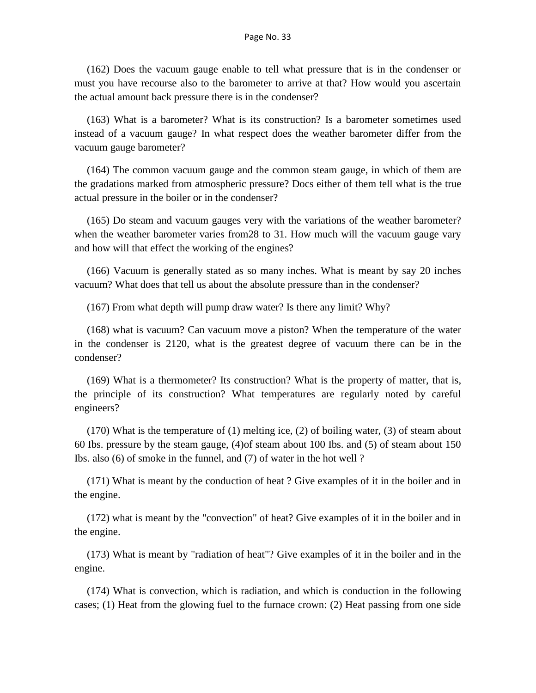(162) Does the vacuum gauge enable to tell what pressure that is in the condenser or must you have recourse also to the barometer to arrive at that? How would you ascertain the actual amount back pressure there is in the condenser?

(163) What is a barometer? What is its construction? Is a barometer sometimes used instead of a vacuum gauge? In what respect does the weather barometer differ from the vacuum gauge barometer?

(164) The common vacuum gauge and the common steam gauge, in which of them are the gradations marked from atmospheric pressure? Docs either of them tell what is the true actual pressure in the boiler or in the condenser?

(165) Do steam and vacuum gauges very with the variations of the weather barometer? when the weather barometer varies from28 to 31. How much will the vacuum gauge vary and how will that effect the working of the engines?

(166) Vacuum is generally stated as so many inches. What is meant by say 20 inches vacuum? What does that tell us about the absolute pressure than in the condenser?

(167) From what depth will pump draw water? Is there any limit? Why?

(168) what is vacuum? Can vacuum move a piston? When the temperature of the water in the condenser is 2120, what is the greatest degree of vacuum there can be in the condenser?

(169) What is a thermometer? Its construction? What is the property of matter, that is, the principle of its construction? What temperatures are regularly noted by careful engineers?

(170) What is the temperature of (1) melting ice, (2) of boiling water, (3) of steam about 60 Ibs. pressure by the steam gauge, (4)of steam about 100 Ibs. and (5) of steam about 150 Ibs. also (6) of smoke in the funnel, and (7) of water in the hot well ?

(171) What is meant by the conduction of heat ? Give examples of it in the boiler and in the engine.

(172) what is meant by the "convection" of heat? Give examples of it in the boiler and in the engine.

(173) What is meant by "radiation of heat"? Give examples of it in the boiler and in the engine.

(174) What is convection, which is radiation, and which is conduction in the following cases; (1) Heat from the glowing fuel to the furnace crown: (2) Heat passing from one side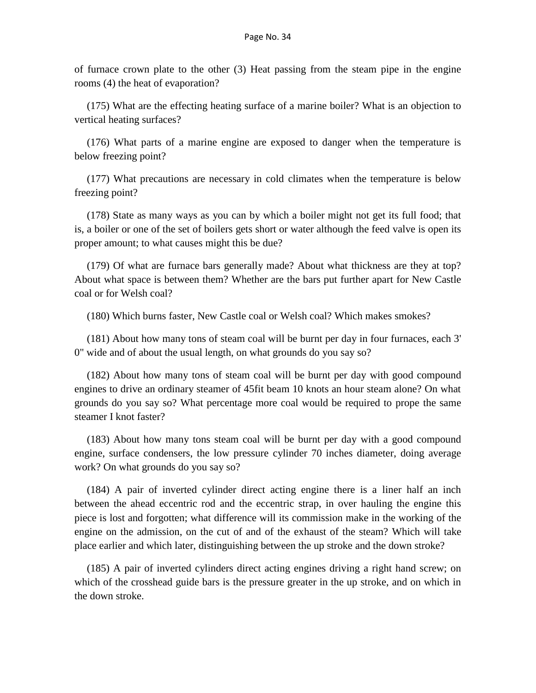of furnace crown plate to the other (3) Heat passing from the steam pipe in the engine rooms (4) the heat of evaporation?

(175) What are the effecting heating surface of a marine boiler? What is an objection to vertical heating surfaces?

(176) What parts of a marine engine are exposed to danger when the temperature is below freezing point?

(177) What precautions are necessary in cold climates when the temperature is below freezing point?

(178) State as many ways as you can by which a boiler might not get its full food; that is, a boiler or one of the set of boilers gets short or water although the feed valve is open its proper amount; to what causes might this be due?

(179) Of what are furnace bars generally made? About what thickness are they at top? About what space is between them? Whether are the bars put further apart for New Castle coal or for Welsh coal?

(180) Which burns faster, New Castle coal or Welsh coal? Which makes smokes?

(181) About how many tons of steam coal will be burnt per day in four furnaces, each 3' 0" wide and of about the usual length, on what grounds do you say so?

(182) About how many tons of steam coal will be burnt per day with good compound engines to drive an ordinary steamer of 45fit beam 10 knots an hour steam alone? On what grounds do you say so? What percentage more coal would be required to prope the same steamer I knot faster?

(183) About how many tons steam coal will be burnt per day with a good compound engine, surface condensers, the low pressure cylinder 70 inches diameter, doing average work? On what grounds do you say so?

(184) A pair of inverted cylinder direct acting engine there is a liner half an inch between the ahead eccentric rod and the eccentric strap, in over hauling the engine this piece is lost and forgotten; what difference will its commission make in the working of the engine on the admission, on the cut of and of the exhaust of the steam? Which will take place earlier and which later, distinguishing between the up stroke and the down stroke?

(185) A pair of inverted cylinders direct acting engines driving a right hand screw; on which of the crosshead guide bars is the pressure greater in the up stroke, and on which in the down stroke.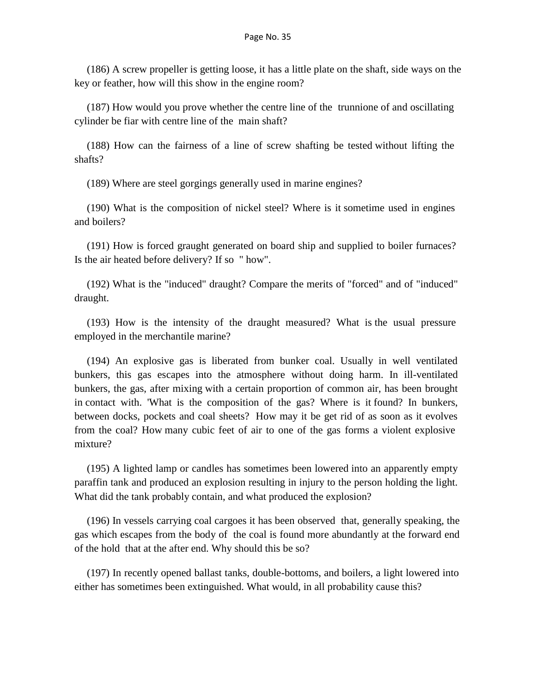(186) A screw propeller is getting loose, it has a little plate on the shaft, side ways on the key or feather, how will this show in the engine room?

(187) How would you prove whether the centre line of the trunnione of and oscillating cylinder be fiar with centre line of the main shaft?

(188) How can the fairness of a line of screw shafting be tested without lifting the shafts?

(189) Where are steel gorgings generally used in marine engines?

(190) What is the composition of nickel steel? Where is it sometime used in engines and boilers?

(191) How is forced graught generated on board ship and supplied to boiler furnaces? Is the air heated before delivery? If so " how".

(192) What is the "induced" draught? Compare the merits of "forced" and of "induced" draught.

(193) How is the intensity of the draught measured? What is the usual pressure employed in the merchantile marine?

(194) An explosive gas is liberated from bunker coal. Usually in well ventilated bunkers, this gas escapes into the atmosphere without doing harm. In ill-ventilated bunkers, the gas, after mixing with a certain proportion of common air, has been brought in contact with. 'What is the composition of the gas? Where is it found? In bunkers, between docks, pockets and coal sheets? How may it be get rid of as soon as it evolves from the coal? How many cubic feet of air to one of the gas forms a violent explosive mixture?

(195) A lighted lamp or candles has sometimes been lowered into an apparently empty paraffin tank and produced an explosion resulting in injury to the person holding the light. What did the tank probably contain, and what produced the explosion?

(196) In vessels carrying coal cargoes it has been observed that, generally speaking, the gas which escapes from the body of the coal is found more abundantly at the forward end of the hold that at the after end. Why should this be so?

(197) In recently opened ballast tanks, double-bottoms, and boilers, a light lowered into either has sometimes been extinguished. What would, in all probability cause this?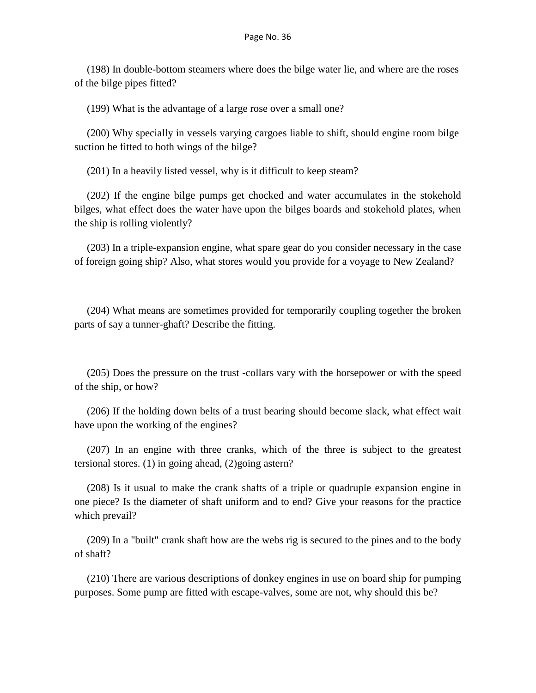(198) In double-bottom steamers where does the bilge water lie, and where are the roses of the bilge pipes fitted?

(199) What is the advantage of a large rose over a small one?

(200) Why specially in vessels varying cargoes liable to shift, should engine room bilge suction be fitted to both wings of the bilge?

(201) In a heavily listed vessel, why is it difficult to keep steam?

(202) If the engine bilge pumps get chocked and water accumulates in the stokehold bilges, what effect does the water have upon the bilges boards and stokehold plates, when the ship is rolling violently?

(203) In a triple-expansion engine, what spare gear do you consider necessary in the case of foreign going ship? Also, what stores would you provide for a voyage to New Zealand?

(204) What means are sometimes provided for temporarily coupling together the broken parts of say a tunner-ghaft? Describe the fitting.

(205) Does the pressure on the trust -collars vary with the horsepower or with the speed of the ship, or how?

(206) If the holding down belts of a trust bearing should become slack, what effect wait have upon the working of the engines?

(207) In an engine with three cranks, which of the three is subject to the greatest tersional stores. (1) in going ahead, (2)going astern?

(208) Is it usual to make the crank shafts of a triple or quadruple expansion engine in one piece? Is the diameter of shaft uniform and to end? Give your reasons for the practice which prevail?

(209) In a "built" crank shaft how are the webs rig is secured to the pines and to the body of shaft?

(210) There are various descriptions of donkey engines in use on board ship for pumping purposes. Some pump are fitted with escape-valves, some are not, why should this be?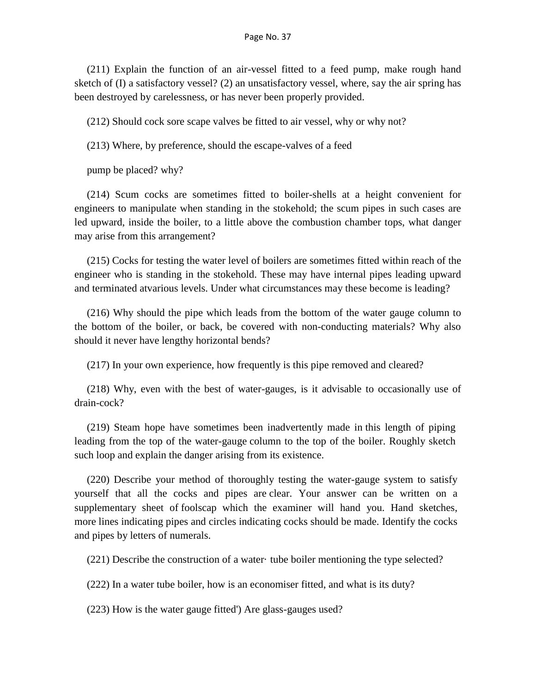(211) Explain the function of an air-vessel fitted to a feed pump, make rough hand sketch of (I) a satisfactory vessel? (2) an unsatisfactory vessel, where, say the air spring has been destroyed by carelessness, or has never been properly provided.

(212) Should cock sore scape valves be fitted to air vessel, why or why not?

(213) Where, by preference, should the escape-valves of a feed

pump be placed? why?

(214) Scum cocks are sometimes fitted to boiler-shells at a height convenient for engineers to manipulate when standing in the stokehold; the scum pipes in such cases are led upward, inside the boiler, to a little above the combustion chamber tops, what danger may arise from this arrangement?

(215) Cocks for testing the water level of boilers are sometimes fitted within reach of the engineer who is standing in the stokehold. These may have internal pipes leading upward and terminated atvarious levels. Under what circumstances may these become is leading?

(216) Why should the pipe which leads from the bottom of the water gauge column to the bottom of the boiler, or back, be covered with non-conducting materials? Why also should it never have lengthy horizontal bends?

(217) In your own experience, how frequently is this pipe removed and cleared?

(218) Why, even with the best of water-gauges, is it advisable to occasionally use of drain-cock?

(219) Steam hope have sometimes been inadvertently made in this length of piping leading from the top of the water-gauge column to the top of the boiler. Roughly sketch such loop and explain the danger arising from its existence.

(220) Describe your method of thoroughly testing the water-gauge system to satisfy yourself that all the cocks and pipes are clear. Your answer can be written on a supplementary sheet of foolscap which the examiner will hand you. Hand sketches, more lines indicating pipes and circles indicating cocks should be made. Identify the cocks and pipes by letters of numerals.

(221) Describe the construction of a water· tube boiler mentioning the type selected?

(222) In a water tube boiler, how is an economiser fitted, and what is its duty?

(223) How is the water gauge fitted') Are glass-gauges used?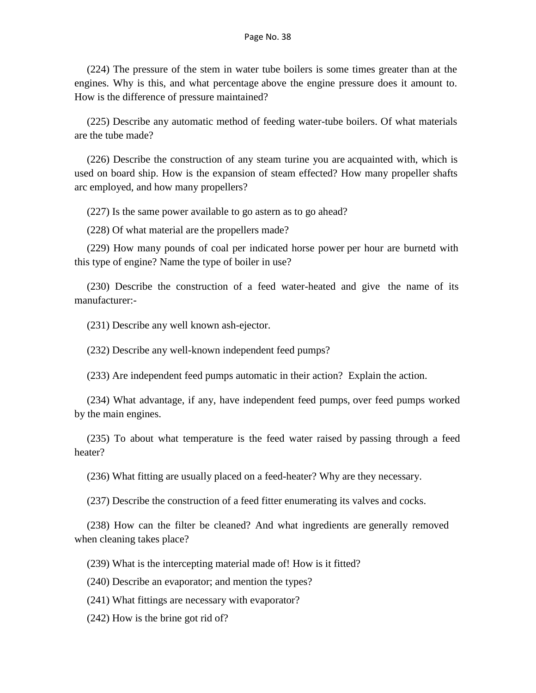(224) The pressure of the stem in water tube boilers is some times greater than at the engines. Why is this, and what percentage above the engine pressure does it amount to. How is the difference of pressure maintained?

(225) Describe any automatic method of feeding water-tube boilers. Of what materials are the tube made?

(226) Describe the construction of any steam turine you are acquainted with, which is used on board ship. How is the expansion of steam effected? How many propeller shafts arc employed, and how many propellers?

(227) Is the same power available to go astern as to go ahead?

(228) Of what material are the propellers made?

(229) How many pounds of coal per indicated horse power per hour are burnetd with this type of engine? Name the type of boiler in use?

(230) Describe the construction of a feed water-heated and give the name of its manufacturer:-

(231) Describe any well known ash-ejector.

(232) Describe any well-known independent feed pumps?

(233) Are independent feed pumps automatic in their action? Explain the action.

(234) What advantage, if any, have independent feed pumps, over feed pumps worked by the main engines.

(235) To about what temperature is the feed water raised by passing through a feed heater?

(236) What fitting are usually placed on a feed-heater? Why are they necessary.

(237) Describe the construction of a feed fitter enumerating its valves and cocks.

(238) How can the filter be cleaned? And what ingredients are generally removed when cleaning takes place?

(239) What is the intercepting material made of! How is it fitted?

(240) Describe an evaporator; and mention the types?

(241) What fittings are necessary with evaporator?

(242) How is the brine got rid of?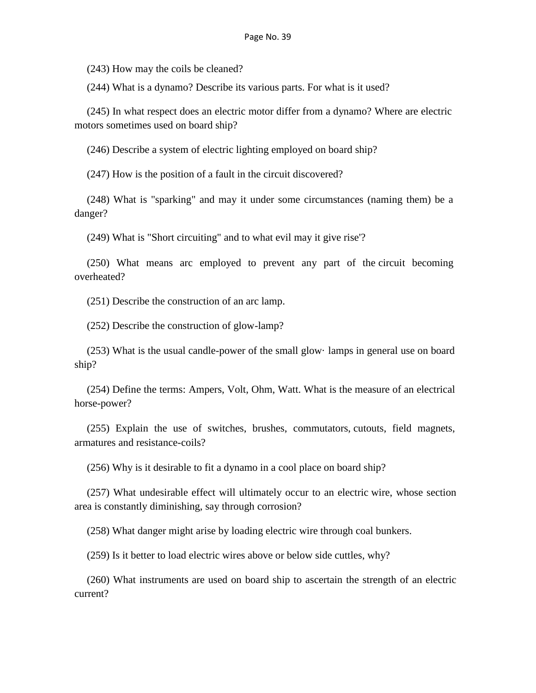(243) How may the coils be cleaned?

(244) What is a dynamo? Describe its various parts. For what is it used?

(245) In what respect does an electric motor differ from a dynamo? Where are electric motors sometimes used on board ship?

(246) Describe a system of electric lighting employed on board ship?

(247) How is the position of a fault in the circuit discovered?

(248) What is "sparking" and may it under some circumstances (naming them) be a danger?

(249) What is "Short circuiting" and to what evil may it give rise'?

(250) What means arc employed to prevent any part of the circuit becoming overheated?

(251) Describe the construction of an arc lamp.

(252) Describe the construction of glow-lamp?

(253) What is the usual candle-power of the small glow· lamps in general use on board ship?

(254) Define the terms: Ampers, Volt, Ohm, Watt. What is the measure of an electrical horse-power?

(255) Explain the use of switches, brushes, commutators, cutouts, field magnets, armatures and resistance-coils?

(256) Why is it desirable to fit a dynamo in a cool place on board ship?

(257) What undesirable effect will ultimately occur to an electric wire, whose section area is constantly diminishing, say through corrosion?

(258) What danger might arise by loading electric wire through coal bunkers.

(259) Is it better to load electric wires above or below side cuttles, why?

(260) What instruments are used on board ship to ascertain the strength of an electric current?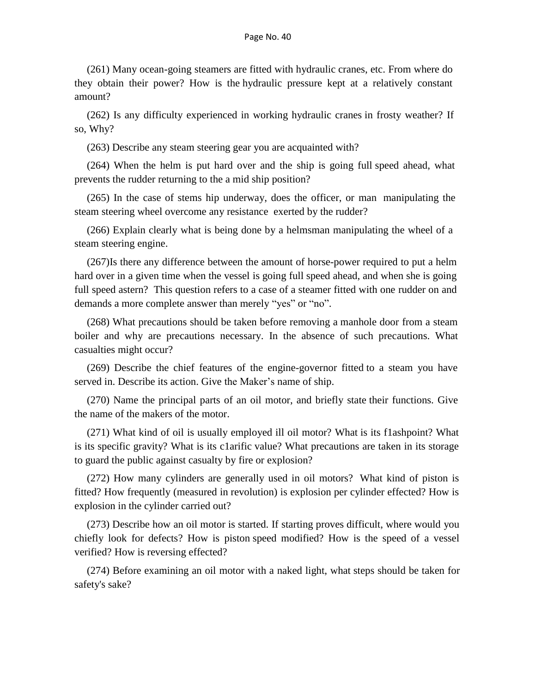(261) Many ocean-going steamers are fitted with hydraulic cranes, etc. From where do they obtain their power? How is the hydraulic pressure kept at a relatively constant amount?

(262) Is any difficulty experienced in working hydraulic cranes in frosty weather? If so, Why?

(263) Describe any steam steering gear you are acquainted with?

(264) When the helm is put hard over and the ship is going full speed ahead, what prevents the rudder returning to the a mid ship position?

(265) In the case of stems hip underway, does the officer, or man manipulating the steam steering wheel overcome any resistance exerted by the rudder?

(266) Explain clearly what is being done by a helmsman manipulating the wheel of a steam steering engine.

(267)Is there any difference between the amount of horse-power required to put a helm hard over in a given time when the vessel is going full speed ahead, and when she is going full speed astern? This question refers to a case of a steamer fitted with one rudder on and demands a more complete answer than merely "yes" or "no".

(268) What precautions should be taken before removing a manhole door from a steam boiler and why are precautions necessary. In the absence of such precautions. What casualties might occur?

(269) Describe the chief features of the engine-governor fitted to a steam you have served in. Describe its action. Give the Maker's name of ship.

(270) Name the principal parts of an oil motor, and briefly state their functions. Give the name of the makers of the motor.

(271) What kind of oil is usually employed ill oil motor? What is its f1ashpoint? What is its specific gravity? What is its c1arific value? What precautions are taken in its storage to guard the public against casualty by fire or explosion?

(272) How many cylinders are generally used in oil motors? What kind of piston is fitted? How frequently (measured in revolution) is explosion per cylinder effected? How is explosion in the cylinder carried out?

(273) Describe how an oil motor is started. If starting proves difficult, where would you chiefly look for defects? How is piston speed modified? How is the speed of a vessel verified? How is reversing effected?

(274) Before examining an oil motor with a naked light, what steps should be taken for safety's sake?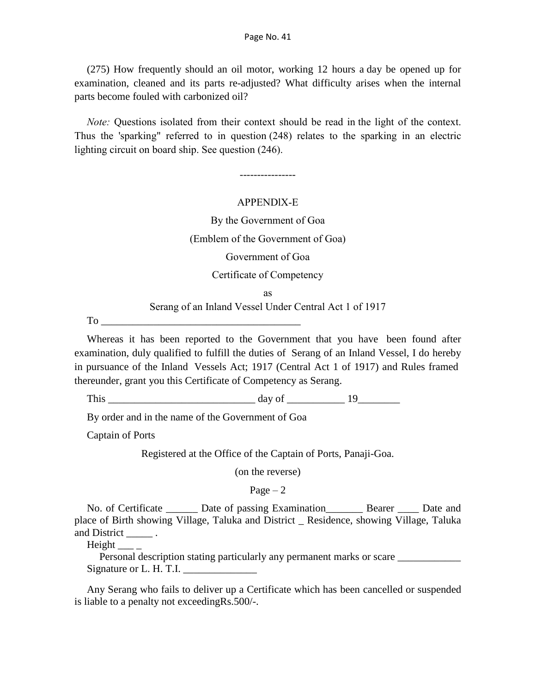(275) How frequently should an oil motor, working 12 hours a day be opened up for examination, cleaned and its parts re-adjusted? What difficulty arises when the internal parts become fouled with carbonized oil?

*Note:* Questions isolated from their context should be read in the light of the context. Thus the 'sparking" referred to in question (248) relates to the sparking in an electric lighting circuit on board ship. See question (246).

----------------

## APPENDlX-E

By the Government of Goa

(Emblem of the Government of Goa)

Government of Goa

### Certificate of Competency

as

### Serang of an Inland Vessel Under Central Act 1 of 1917

To

Whereas it has been reported to the Government that you have been found after examination, duly qualified to fulfill the duties of Serang of an Inland Vessel, I do hereby in pursuance of the Inland Vessels Act; 1917 (Central Act 1 of 1917) and Rules framed thereunder, grant you this Certificate of Competency as Serang.

This  $\frac{day \text{ of}}{19}$ 

By order and in the name of the Government of Goa

Captain of Ports

Registered at the Office of the Captain of Ports, Panaji-Goa.

(on the reverse)

Page  $-2$ 

No. of Certificate \_\_\_\_\_\_ Date of passing Examination\_\_\_\_\_\_\_ Bearer \_\_\_\_ Date and place of Birth showing Village, Taluka and District \_ Residence, showing Village, Taluka and District \_\_\_\_\_\_\_.

 $Height$ 

Personal description stating particularly any permanent marks or scare \_\_\_\_\_\_\_\_\_\_ Signature or L. H. T.I.  $\frac{1}{\sqrt{1-\frac{1}{2}}}\$ 

Any Serang who fails to deliver up a Certificate which has been cancelled or suspended is liable to a penalty not exceedingRs.500/-.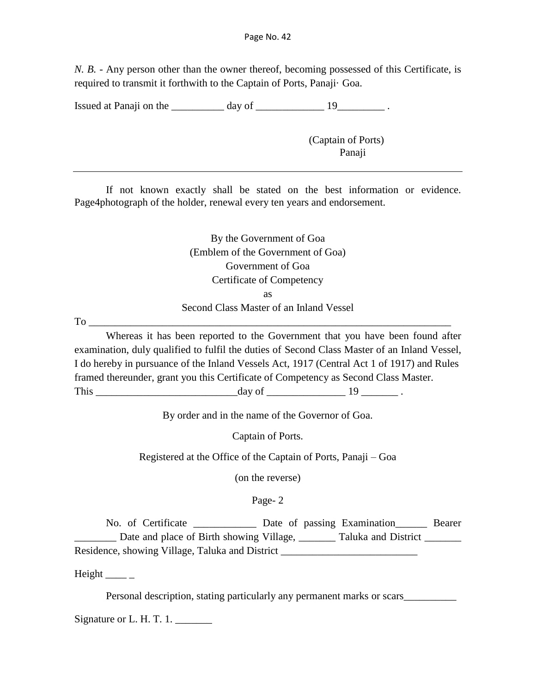*N. B.* - Any person other than the owner thereof, becoming possessed of this Certificate, is required to transmit it forthwith to the Captain of Ports, Panaji· Goa.

Issued at Panaji on the \_\_\_\_\_\_\_\_\_\_ day of \_\_\_\_\_\_\_\_\_\_\_\_\_ 19\_\_\_\_\_\_\_\_\_ .

(Captain of Ports) Panaji

If not known exactly shall be stated on the best information or evidence. Page4photograph of the holder, renewal every ten years and endorsement.

> By the Government of Goa (Emblem of the Government of Goa) Government of Goa Certificate of Competency as

Second Class Master of an Inland Vessel

To \_\_\_\_\_\_\_\_\_\_\_\_\_\_\_\_\_\_\_\_\_\_\_\_\_\_\_\_\_\_\_\_\_\_\_\_\_\_\_\_\_\_\_\_\_\_\_\_\_\_\_\_\_\_\_\_\_\_\_\_\_\_\_\_\_\_\_\_\_

Whereas it has been reported to the Government that you have been found after examination, duly qualified to fulfil the duties of Second Class Master of an Inland Vessel, I do hereby in pursuance of the Inland Vessels Act, 1917 (Central Act 1 of 1917) and Rules framed thereunder, grant you this Certificate of Competency as Second Class Master. This  $\frac{day \text{ of } }{x}$ .

By order and in the name of the Governor of Goa.

Captain of Ports.

Registered at the Office of the Captain of Ports, Panaji – Goa

(on the reverse)

Page- 2

No. of Certificate \_\_\_\_\_\_\_\_\_\_\_\_ Date of passing Examination\_\_\_\_\_\_ Bearer \_\_\_\_\_\_\_\_ Date and place of Birth showing Village, \_\_\_\_\_\_\_ Taluka and District \_\_\_\_\_\_\_ Residence, showing Village, Taluka and District \_\_\_\_\_\_\_\_\_\_\_\_\_\_\_\_\_\_\_\_\_\_\_\_\_\_\_\_\_\_\_\_

Height  $\_\_$ 

Personal description, stating particularly any permanent marks or scars\_\_\_\_\_\_\_\_\_\_

Signature or L. H. T. 1. \_\_\_\_\_\_\_\_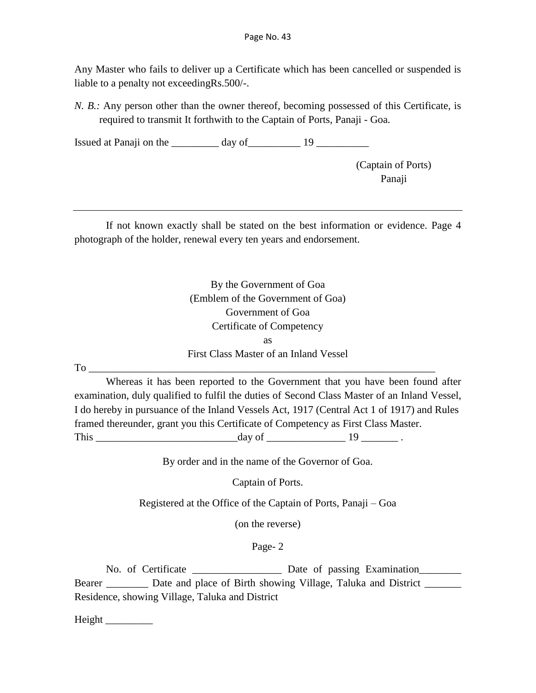Any Master who fails to deliver up a Certificate which has been cancelled or suspended is liable to a penalty not exceedingRs.500/-.

*N. B.*: Any person other than the owner thereof, becoming possessed of this Certificate, is required to transmit It forthwith to the Captain of Ports, Panaji - Goa.

Issued at Panaji on the  $\frac{19}{2}$ 

(Captain of Ports) Panaji

If not known exactly shall be stated on the best information or evidence. Page 4 photograph of the holder, renewal every ten years and endorsement.

By the Government of Goa (Emblem of the Government of Goa) Government of Goa Certificate of Competency as First Class Master of an Inland Vessel To \_\_\_\_\_\_\_\_\_\_\_\_\_\_\_\_\_\_\_\_\_\_\_\_\_\_\_\_\_\_\_\_\_\_\_\_\_\_\_\_\_\_\_\_\_\_\_\_\_\_\_\_\_\_\_\_\_\_\_\_\_\_\_\_\_\_

Whereas it has been reported to the Government that you have been found after examination, duly qualified to fulfil the duties of Second Class Master of an Inland Vessel, I do hereby in pursuance of the Inland Vessels Act, 1917 (Central Act 1 of 1917) and Rules framed thereunder, grant you this Certificate of Competency as First Class Master. This  $\frac{day \text{ of }_{x} \quad 19 \quad \text{ of }_{x} \quad 19 \quad \text{ of }_{x} \quad 19 \quad \text{ of }_{x} \quad 19 \quad \text{ of }_{x} \quad 19 \quad \text{ of }_{x} \quad 19 \quad \text{ of }_{x} \quad 19 \quad \text{ of }_{x} \quad 19 \quad \text{ of }_{x} \quad 19 \quad \text{ of }_{x} \quad 19 \quad \text{ of }_{x} \quad 19 \quad \text{ of }_{x} \quad 19 \quad \text{ of }_{x} \quad 19 \quad \text{ of }_{x} \quad 19 \quad \$ 

By order and in the name of the Governor of Goa.

Captain of Ports.

Registered at the Office of the Captain of Ports, Panaji – Goa

(on the reverse)

Page- 2

No. of Certificate **Later and CE and CE and CE and CE and CE and CE and CE and CE and CE and CE and CE and CE and CE and CE and CE and CE and CE and CE and CE and CE and CE and CE and CE and CE and CE and CE and CE and CE** Bearer **Date and place of Birth showing Village, Taluka and District** Residence, showing Village, Taluka and District

Height \_\_\_\_\_\_\_\_\_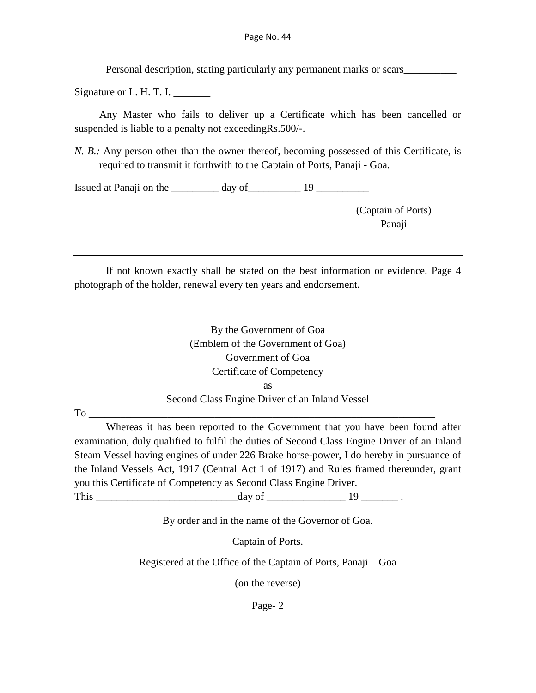Personal description, stating particularly any permanent marks or scars\_\_\_\_\_\_\_\_\_\_

Signature or  $L$ . H. T. I.

Any Master who fails to deliver up a Certificate which has been cancelled or suspended is liable to a penalty not exceeding Rs.500/-.

*N. B.*: Any person other than the owner thereof, becoming possessed of this Certificate, is required to transmit it forthwith to the Captain of Ports, Panaji - Goa.

Issued at Panaji on the  $\frac{1}{2}$  day of  $\frac{1}{2}$  19

(Captain of Ports) Panaji

If not known exactly shall be stated on the best information or evidence. Page 4 photograph of the holder, renewal every ten years and endorsement.

> By the Government of Goa (Emblem of the Government of Goa) Government of Goa Certificate of Competency as Second Class Engine Driver of an Inland Vessel

To \_\_\_\_\_\_\_\_\_\_\_\_\_\_\_\_\_\_\_\_\_\_\_\_\_\_\_\_\_\_\_\_\_\_\_\_\_\_\_\_\_\_\_\_\_\_\_\_\_\_\_\_\_\_\_\_\_\_\_\_\_\_\_\_\_\_

Whereas it has been reported to the Government that you have been found after examination, duly qualified to fulfil the duties of Second Class Engine Driver of an Inland Steam Vessel having engines of under 226 Brake horse-power, I do hereby in pursuance of the Inland Vessels Act, 1917 (Central Act 1 of 1917) and Rules framed thereunder, grant you this Certificate of Competency as Second Class Engine Driver.

This day of 19 and 19 and 19 and 19 and 19 and 19 and 19 and 19 and 19 and 19 and 19 and 19 and 19 and 19 and 19 and 19 and 19 and 19 and 19 and 19 and 19 and 19 and 19 and 19 and 19 and 19 and 19 and 19 and 19 and 19 and

By order and in the name of the Governor of Goa.

Captain of Ports.

Registered at the Office of the Captain of Ports, Panaji – Goa

(on the reverse)

Page- 2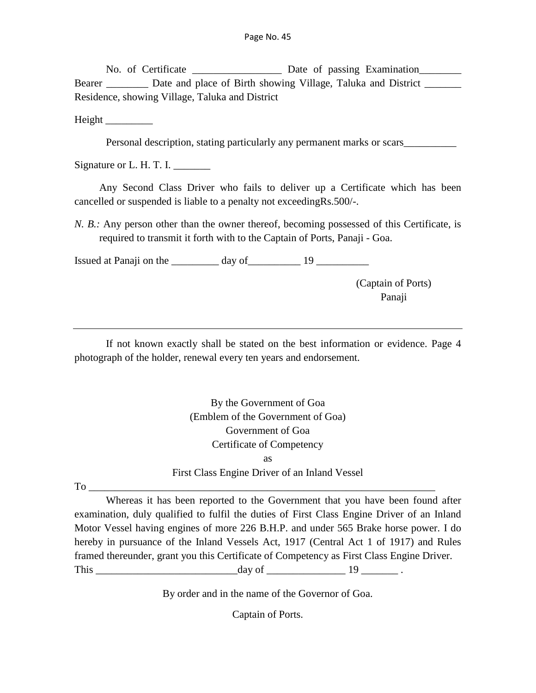No. of Certificate \_\_\_\_\_\_\_\_\_\_\_\_\_\_\_\_\_\_\_\_ Date of passing Examination\_\_\_\_\_\_\_\_\_\_\_\_ Bearer Date and place of Birth showing Village, Taluka and District \_\_\_\_\_\_\_\_\_ Residence, showing Village, Taluka and District

 $Height$ 

Personal description, stating particularly any permanent marks or scars\_\_\_\_\_\_\_\_\_

Signature or  $L$ . H. T. I.

Any Second Class Driver who fails to deliver up a Certificate which has been cancelled or suspended is liable to a penalty not exceedingRs.500/-.

*N. B.:* Any person other than the owner thereof, becoming possessed of this Certificate, is required to transmit it forth with to the Captain of Ports, Panaji - Goa.

Issued at Panaji on the day of The 19

(Captain of Ports) Panaji

If not known exactly shall be stated on the best information or evidence. Page 4 photograph of the holder, renewal every ten years and endorsement.

> By the Government of Goa (Emblem of the Government of Goa) Government of Goa Certificate of Competency as First Class Engine Driver of an Inland Vessel

 $To$ 

Whereas it has been reported to the Government that you have been found after examination, duly qualified to fulfil the duties of First Class Engine Driver of an Inland Motor Vessel having engines of more 226 B.H.P. and under 565 Brake horse power. I do hereby in pursuance of the Inland Vessels Act, 1917 (Central Act 1 of 1917) and Rules framed thereunder, grant you this Certificate of Competency as First Class Engine Driver. This day of 19 and 19 and 19 and 19 and 19 and 19 and 19 and 19 and 19 and 19 and 19 and 19 and 19 and 19 and 19 and 19 and 19 and 19 and 19 and 19 and 19 and 19 and 19 and 19 and 19 and 19 and 19 and 19 and 19 and 19 and

By order and in the name of the Governor of Goa.

Captain of Ports.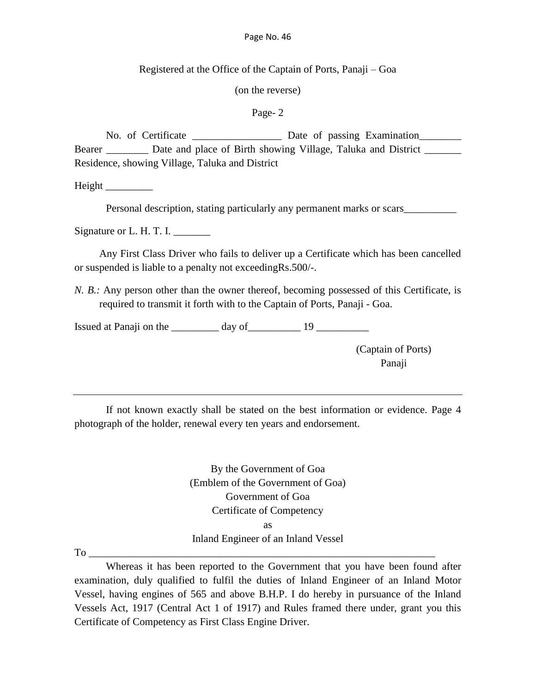Registered at the Office of the Captain of Ports, Panaji – Goa

(on the reverse)

Page- 2

No. of Certificate **Date Of passing Examination** Bearer Date and place of Birth showing Village, Taluka and District \_\_\_\_\_\_\_\_\_ Residence, showing Village, Taluka and District

Height \_\_\_\_\_\_\_\_\_

Personal description, stating particularly any permanent marks or scars\_\_\_\_\_\_\_\_\_\_

Signature or L. H. T. I.

Any First Class Driver who fails to deliver up a Certificate which has been cancelled or suspended is liable to a penalty not exceedingRs.500/-.

*N. B.:* Any person other than the owner thereof, becoming possessed of this Certificate, is required to transmit it forth with to the Captain of Ports, Panaji - Goa.

Issued at Panaji on the  $\frac{1}{2}$  day of  $\frac{1}{2}$  19

(Captain of Ports) Panaji

If not known exactly shall be stated on the best information or evidence. Page 4 photograph of the holder, renewal every ten years and endorsement.

> By the Government of Goa (Emblem of the Government of Goa) Government of Goa Certificate of Competency as Inland Engineer of an Inland Vessel

To \_\_\_\_\_\_\_\_\_\_\_\_\_\_\_\_\_\_\_\_\_\_\_\_\_\_\_\_\_\_\_\_\_\_\_\_\_\_\_\_\_\_\_\_\_\_\_\_\_\_\_\_\_\_\_\_\_\_\_\_\_\_\_\_\_\_

Whereas it has been reported to the Government that you have been found after examination, duly qualified to fulfil the duties of Inland Engineer of an Inland Motor Vessel, having engines of 565 and above B.H.P. I do hereby in pursuance of the Inland Vessels Act, 1917 (Central Act 1 of 1917) and Rules framed there under, grant you this Certificate of Competency as First Class Engine Driver.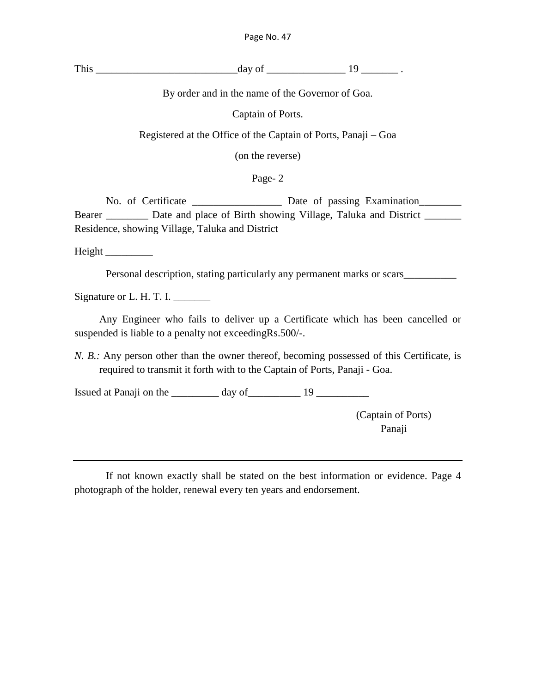This day of  $\frac{19}{2}$ .

By order and in the name of the Governor of Goa.

Captain of Ports.

Registered at the Office of the Captain of Ports, Panaji – Goa

(on the reverse)

Page- 2

No. of Certificate \_\_\_\_\_\_\_\_\_\_\_\_\_\_\_\_\_\_\_ Date of passing Examination\_\_\_\_\_\_\_\_\_ Bearer \_\_\_\_\_\_\_\_ Date and place of Birth showing Village, Taluka and District \_\_\_\_\_\_\_ Residence, showing Village, Taluka and District

Height \_\_\_\_\_\_\_\_\_

Personal description, stating particularly any permanent marks or scars\_\_\_\_\_\_\_\_\_\_

Signature or L. H. T. I.

Any Engineer who fails to deliver up a Certificate which has been cancelled or suspended is liable to a penalty not exceedingRs.500/-.

*N. B.:* Any person other than the owner thereof, becoming possessed of this Certificate, is required to transmit it forth with to the Captain of Ports, Panaji - Goa.

Issued at Panaji on the  $\frac{19}{2}$ 

(Captain of Ports) Panaji

If not known exactly shall be stated on the best information or evidence. Page 4 photograph of the holder, renewal every ten years and endorsement.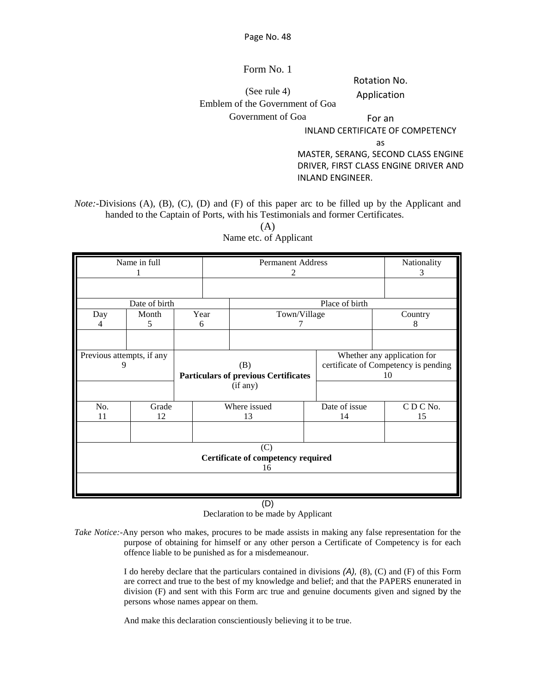Form No. 1

Rotation No.

Application

(See rule 4) Emblem of the Government of Goa

Government of Goa

For an

INLAND CERTIFICATE OF COMPETENCY

as

MASTER, SERANG, SECOND CLASS ENGINE DRIVER, FIRST CLASS ENGINE DRIVER AND INLAND ENGINEER.

*Note:*-Divisions (A), (B), (C), (D) and (F) of this paper arc to be filled up by the Applicant and handed to the Captain of Ports, with his Testimonials and former Certificates.

| Name in full              |                                           |  |      | <b>Permanent Address</b>                    | Nationality<br>3 |                                      |  |  |  |
|---------------------------|-------------------------------------------|--|------|---------------------------------------------|------------------|--------------------------------------|--|--|--|
|                           |                                           |  |      |                                             |                  |                                      |  |  |  |
|                           | Date of birth                             |  |      |                                             | Place of birth   |                                      |  |  |  |
| Day                       | Month                                     |  | Year | Town/Village                                |                  | Country                              |  |  |  |
| 4                         | 5.                                        |  | 6    |                                             |                  | 8                                    |  |  |  |
|                           |                                           |  |      |                                             |                  |                                      |  |  |  |
| Previous attempts, if any |                                           |  |      |                                             |                  | Whether any application for          |  |  |  |
| 9                         |                                           |  |      | (B)                                         |                  | certificate of Competency is pending |  |  |  |
|                           |                                           |  |      | <b>Particulars of previous Certificates</b> |                  | 10                                   |  |  |  |
|                           |                                           |  |      | (if any)                                    |                  |                                      |  |  |  |
| No.                       | Grade                                     |  |      | Where issued                                | Date of issue    | CDCNo.                               |  |  |  |
| 11                        | 12                                        |  |      | 13                                          | 14               | 15                                   |  |  |  |
|                           |                                           |  |      |                                             |                  |                                      |  |  |  |
|                           | (C)<br>Certificate of competency required |  |      |                                             |                  |                                      |  |  |  |
|                           |                                           |  |      | 16                                          |                  |                                      |  |  |  |
|                           |                                           |  |      |                                             |                  |                                      |  |  |  |
|                           |                                           |  |      |                                             |                  |                                      |  |  |  |

(A) Name etc. of Applicant

(D)

Declaration to be made by Applicant

*Take Notice:-*Any person who makes, procures to be made assists in making any false representation for the purpose of obtaining for himself or any other person a Certificate of Competency is for each offence liable to be punished as for a misdemeanour.

> I do hereby declare that the particulars contained in divisions *(A),* (8), (C) and (F) of this Form are correct and true to the best of my knowledge and belief; and that the PAPERS enunerated in division (F) and sent with this Form arc true and genuine documents given and signed by the persons whose names appear on them.

And make this declaration conscientiously believing it to be true.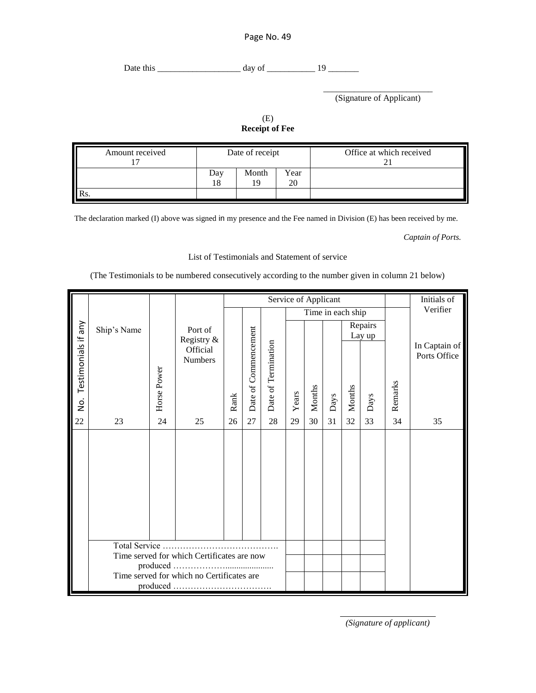Date this \_\_\_\_\_\_\_\_\_\_\_\_\_\_\_\_\_\_\_ day of \_\_\_\_\_\_\_\_\_\_\_ 19 \_\_\_\_\_\_\_

\_\_\_\_\_\_\_\_\_\_\_\_\_\_\_\_\_\_\_\_\_\_\_\_\_ (Signature of Applicant)

(E) **Receipt of Fee**

| Amount received | Date of receipt |       |            | Office at which received |  |  |
|-----------------|-----------------|-------|------------|--------------------------|--|--|
|                 | ⊅av             | Month | Year<br>20 |                          |  |  |
|                 |                 |       |            |                          |  |  |

The declaration marked (I) above was signed in my presence and the Fee named in Division (E) has been received by me.

*Captain of Ports.*

List of Testimonials and Statement of service

(The Testimonials to be numbered consecutively according to the number given in column 21 below)

|                         |                                                             |             |                            |      |                      |                     | Service of Applicant |                   |      |        | Initials of       |          |                               |
|-------------------------|-------------------------------------------------------------|-------------|----------------------------|------|----------------------|---------------------|----------------------|-------------------|------|--------|-------------------|----------|-------------------------------|
|                         |                                                             |             |                            |      |                      |                     |                      | Time in each ship |      |        |                   | Verifier |                               |
|                         | Ship's Name                                                 |             | Port of<br>Registry &      |      |                      |                     |                      |                   |      |        | Repairs<br>Lay up |          |                               |
| No. Testimonials if any |                                                             | Horse Power | Official<br><b>Numbers</b> | Rank | Date of Commencement | Date of Termination | Years                | Months            | Days | Months | Days              | Remarks  | In Captain of<br>Ports Office |
| 22                      | 23                                                          | 24          | 25                         | 26   | 27                   | $28\,$              | 29                   | 30                | 31   | 32     | 33                | 34       | 35                            |
|                         |                                                             |             |                            |      |                      |                     |                      |                   |      |        |                   |          |                               |
|                         | Total Service<br>Time served for which Certificates are now |             |                            |      |                      |                     |                      |                   |      |        |                   |          |                               |
|                         | produced.                                                   |             |                            |      |                      |                     |                      |                   |      |        |                   |          |                               |
|                         | Time served for which no Certificates are                   |             |                            |      |                      |                     |                      |                   |      |        |                   |          |                               |
|                         |                                                             |             |                            |      |                      |                     |                      |                   |      |        |                   |          |                               |

*(Signature of applicant)*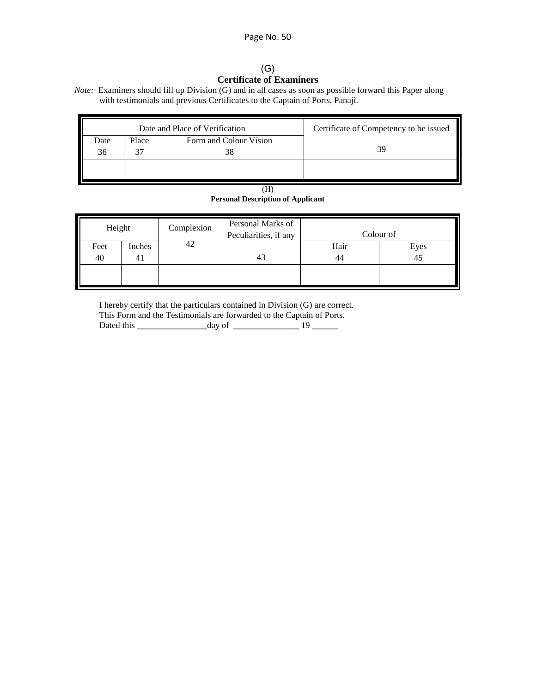### (G) **Certificate of Examiners**

*Note:* · Examiners should fill up Division (G) and in all cases as soon as possible forward this Paper along with testimonials and previous Certificates to the Captain of Ports, Panaji.

|            |       | Date and Place of Verification | Certificate of Competency to be issued |  |  |
|------------|-------|--------------------------------|----------------------------------------|--|--|
| Date<br>36 | Place | Form and Colour Vision         |                                        |  |  |
|            |       |                                |                                        |  |  |

| (H)                                      |
|------------------------------------------|
| <b>Personal Description of Applicant</b> |

| Height | Complexion | Personal Marks of<br>Peculiarities, if any | Colour of |      |  |  |
|--------|------------|--------------------------------------------|-----------|------|--|--|
| Inches | 42         |                                            | Hair      | Eyes |  |  |
| 41     |            |                                            | 44        | 45   |  |  |
|        |            |                                            |           |      |  |  |
|        |            |                                            | 43        |      |  |  |

I hereby certify that the particulars contained in Division (G) are correct.

|            | This Form and the Testimonials are forwarded to the Captain of Ports. |  |
|------------|-----------------------------------------------------------------------|--|
| Dated this | day of                                                                |  |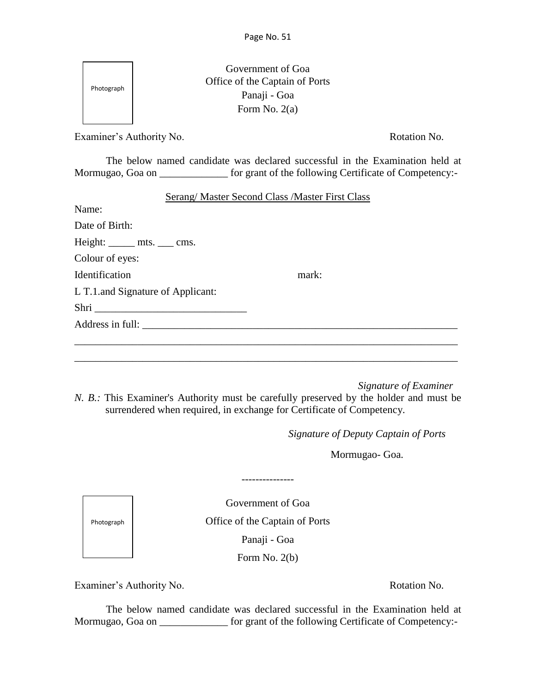| Photograph               |                                       | Government of Goa<br>Office of the Captain of Ports<br>Panaji - Goa<br>Form No. $2(a)$                                                                                  |
|--------------------------|---------------------------------------|-------------------------------------------------------------------------------------------------------------------------------------------------------------------------|
| Examiner's Authority No. |                                       | Rotation No.                                                                                                                                                            |
|                          |                                       | The below named candidate was declared successful in the Examination held at<br>Mormugao, Goa on _______________ for grant of the following Certificate of Competency:- |
|                          |                                       | <b>Serang/ Master Second Class /Master First Class</b>                                                                                                                  |
| Name:                    |                                       |                                                                                                                                                                         |
| Date of Birth:           |                                       |                                                                                                                                                                         |
|                          | Height: $\_\_\_\$ mts. $\_\_\_\$ cms. |                                                                                                                                                                         |
| Colour of eyes:          |                                       |                                                                                                                                                                         |
| <b>Identification</b>    |                                       | mark:                                                                                                                                                                   |
|                          | L T.1. and Signature of Applicant:    |                                                                                                                                                                         |
|                          |                                       |                                                                                                                                                                         |
|                          |                                       |                                                                                                                                                                         |
|                          |                                       |                                                                                                                                                                         |
|                          |                                       |                                                                                                                                                                         |

*Signature of Examiner*

*N. B.:* This Examiner's Authority must be carefully preserved by the holder and must be surrendered when required, in exchange for Certificate of Competency.

*Signature of Deputy Captain of Ports*

Mormugao- Goa.

Government of Goa Office of the Captain of Ports Panaji - Goa

---------------

Photograph

 $\Gamma$ 

٦

Form No. 2(b)

Examiner's Authority No. **Rotation No.** Rotation No.

The below named candidate was declared successful in the Examination held at Mormugao, Goa on \_\_\_\_\_\_\_\_\_\_\_\_\_\_ for grant of the following Certificate of Competency:-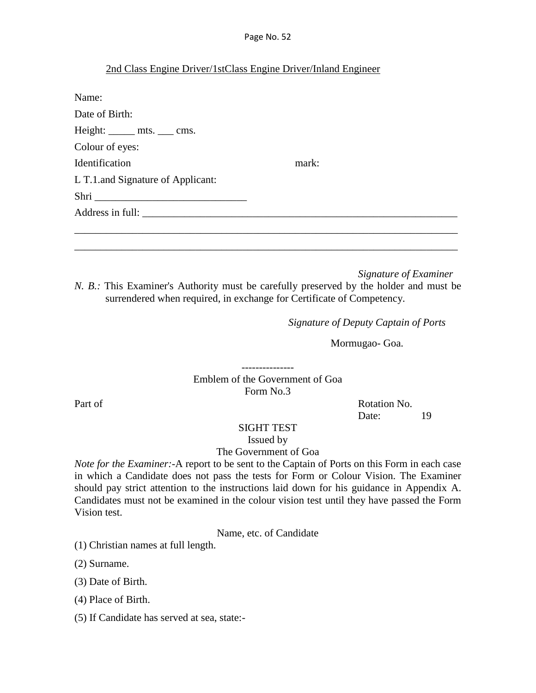### 2nd Class Engine Driver/1stClass Engine Driver/Inland Engineer

| Name:                              |       |
|------------------------------------|-------|
| Date of Birth:                     |       |
| Height: ______ mts. ____ cms.      |       |
| Colour of eyes:                    |       |
| Identification                     | mark: |
| L T.1. and Signature of Applicant: |       |
| Shri                               |       |
|                                    |       |
|                                    |       |
|                                    |       |

*Signature of Examiner N. B.:* This Examiner's Authority must be carefully preserved by the holder and must be surrendered when required, in exchange for Certificate of Competency.

\_\_\_\_\_\_\_\_\_\_\_\_\_\_\_\_\_\_\_\_\_\_\_\_\_\_\_\_\_\_\_\_\_\_\_\_\_\_\_\_\_\_\_\_\_\_\_\_\_\_\_\_\_\_\_\_\_\_\_\_\_\_\_\_\_\_\_\_\_\_\_\_\_

*Signature of Deputy Captain of Ports*

Mormugao- Goa.

--------------- Emblem of the Government of Goa Form No.3

Part of Rotation No. Date: 19

#### SIGHT TEST

Issued by

### The Government of Goa

*Note for the Examiner:-*A report to be sent to the Captain of Ports on this Form in each case in which a Candidate does not pass the tests for Form or Colour Vision. The Examiner should pay strict attention to the instructions laid down for his guidance in Appendix A. Candidates must not be examined in the colour vision test until they have passed the Form Vision test.

Name, etc. of Candidate

(1) Christian names at full length.

(2) Surname.

(3) Date of Birth.

(4) Place of Birth.

(5) If Candidate has served at sea, state:-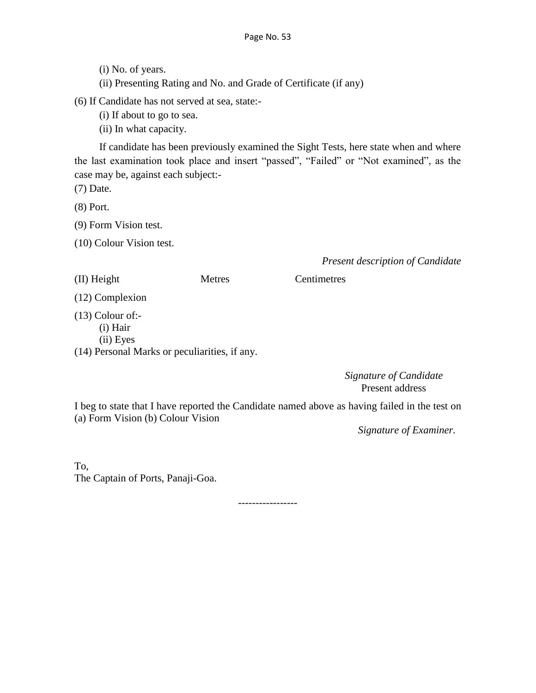(i) No. of years.

(ii) Presenting Rating and No. and Grade of Certificate (if any)

(6) If Candidate has not served at sea, state:-

(i) If about to go to sea.

(ii) In what capacity.

If candidate has been previously examined the Sight Tests, here state when and where the last examination took place and insert "passed", "Failed" or "Not examined", as the case may be, against each subject:-

(7) Date.

(8) Port.

(9) Form Vision test.

(10) Colour Vision test.

*Present description of Candidate*

(II) Height Metres Centimetres

(12) Complexion

(13) Colour of:-

(i) Hair

(ii) Eyes

(14) Personal Marks or peculiarities, if any.

*Signature of Candidate* Present address

I beg to state that I have reported the Candidate named above as having failed in the test on (a) Form Vision (b) Colour Vision

*Signature of Examiner.*

To, The Captain of Ports, Panaji-Goa.

-----------------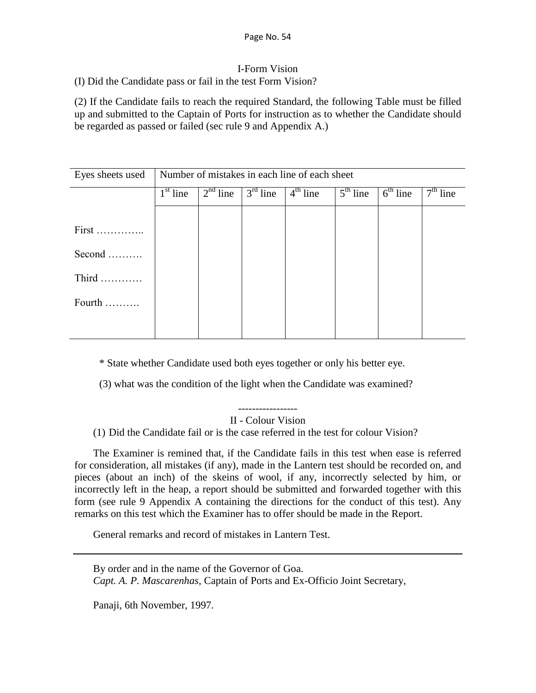## I-Form Vision

(I) Did the Candidate pass or fail in the test Form Vision?

(2) If the Candidate fails to reach the required Standard, the following Table must be filled up and submitted to the Captain of Ports for instruction as to whether the Candidate should be regarded as passed or failed (sec rule 9 and Appendix A.)

| Eyes sheets used             | Number of mistakes in each line of each sheet |            |            |            |            |            |            |  |  |  |
|------------------------------|-----------------------------------------------|------------|------------|------------|------------|------------|------------|--|--|--|
|                              | $1st$ line                                    | $2nd$ line | $3rd$ line | $4th$ line | $5th$ line | $6th$ line | $7th$ line |  |  |  |
|                              |                                               |            |            |            |            |            |            |  |  |  |
| $First$                      |                                               |            |            |            |            |            |            |  |  |  |
| Second                       |                                               |            |            |            |            |            |            |  |  |  |
| Third $\dots\dots\dots\dots$ |                                               |            |            |            |            |            |            |  |  |  |
| Fourth                       |                                               |            |            |            |            |            |            |  |  |  |
|                              |                                               |            |            |            |            |            |            |  |  |  |

\* State whether Candidate used both eyes together or only his better eye.

(3) what was the condition of the light when the Candidate was examined?

II - Colour Vision

(1) Did the Candidate fail or is the case referred in the test for colour Vision?

The Examiner is remined that, if the Candidate fails in this test when ease is referred for consideration, all mistakes (if any), made in the Lantern test should be recorded on, and pieces (about an inch) of the skeins of wool, if any, incorrectly selected by him, or incorrectly left in the heap, a report should be submitted and forwarded together with this form (see rule 9 Appendix A containing the directions for the conduct of this test). Any remarks on this test which the Examiner has to offer should be made in the Report.

General remarks and record of mistakes in Lantern Test.

By order and in the name of the Governor of Goa.

*Capt. A. P. Mascarenhas,* Captain of Ports and Ex-Officio Joint Secretary,

Panaji, 6th November, 1997.